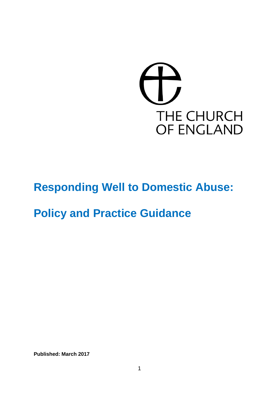

# **Responding Well to Domestic Abuse:**

# **Policy and Practice Guidance**

**Published: March 2017**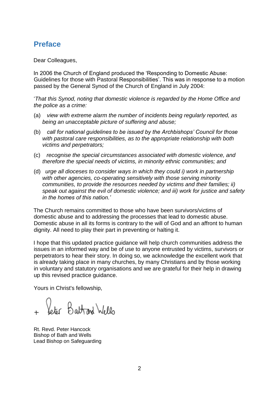## **Preface**

Dear Colleagues,

In 2006 the Church of England produced the 'Responding to Domestic Abuse: Guidelines for those with Pastoral Responsibilities'. This was in response to a motion passed by the General Synod of the Church of England in July 2004:

'*That this Synod, noting that domestic violence is regarded by the Home Office and the police as a crime:* 

- (a) *view with extreme alarm the number of incidents being regularly reported, as being an unacceptable picture of suffering and abuse;*
- (b) *call for national guidelines to be issued by the Archbishops' Council for those with pastoral care responsibilities, as to the appropriate relationship with both victims and perpetrators;*
- (c) *recognise the special circumstances associated with domestic violence, and therefore the special needs of victims, in minority ethnic communities; and*
- (d) *urge all dioceses to consider ways in which they could i) work in partnership with other agencies, co-operating sensitively with those serving minority communities, to provide the resources needed by victims and their families; ii) speak out against the evil of domestic violence; and iii) work for justice and safety in the homes of this nation.'*

The Church remains committed to those who have been survivors/victims of domestic abuse and to addressing the processes that lead to domestic abuse. Domestic abuse in all its forms is contrary to the will of God and an affront to human dignity. All need to play their part in preventing or halting it.

I hope that this updated practice guidance will help church communities address the issues in an informed way and be of use to anyone entrusted by victims, survivors or perpetrators to hear their story. In doing so, we acknowledge the excellent work that is already taking place in many churches, by many Christians and by those working in voluntary and statutory organisations and we are grateful for their help in drawing up this revised practice guidance.

Yours in Christ's fellowship,

Veter Battrand Wells

Rt. Revd. Peter Hancock Bishop of Bath and Wells Lead Bishop on Safeguarding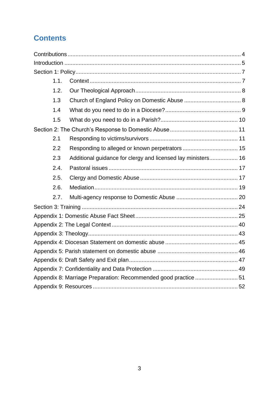## **Contents**

| 1.1. |                                                              |  |
|------|--------------------------------------------------------------|--|
| 1.2. |                                                              |  |
| 1.3  |                                                              |  |
| 1.4  |                                                              |  |
| 1.5  |                                                              |  |
|      |                                                              |  |
| 2.1  |                                                              |  |
| 2.2  |                                                              |  |
| 2.3  | Additional guidance for clergy and licensed lay ministers 16 |  |
| 2.4. |                                                              |  |
| 2.5. |                                                              |  |
| 2.6. |                                                              |  |
| 2.7. |                                                              |  |
|      |                                                              |  |
|      |                                                              |  |
|      |                                                              |  |
|      |                                                              |  |
|      |                                                              |  |
|      |                                                              |  |
|      |                                                              |  |
|      |                                                              |  |
|      |                                                              |  |
|      |                                                              |  |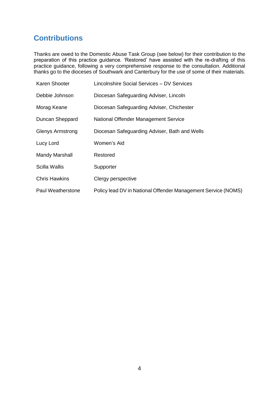## <span id="page-3-0"></span>**Contributions**

Thanks are owed to the Domestic Abuse Task Group (see below) for their contribution to the preparation of this practice guidance. 'Restored' have assisted with the re-drafting of this practice guidance, following a very comprehensive response to the consultation. Additional thanks go to the dioceses of Southwark and Canterbury for the use of some of their materials.

| Karen Shooter           | Lincolnshire Social Services - DV Services                    |
|-------------------------|---------------------------------------------------------------|
| Debbie Johnson          | Diocesan Safeguarding Adviser, Lincoln                        |
| Morag Keane             | Diocesan Safeguarding Adviser, Chichester                     |
| Duncan Sheppard         | National Offender Management Service                          |
| <b>Glenys Armstrong</b> | Diocesan Safeguarding Adviser, Bath and Wells                 |
| Lucy Lord               | Women's Aid                                                   |
| <b>Mandy Marshall</b>   | Restored                                                      |
| <b>Scilla Wallis</b>    | Supporter                                                     |
| <b>Chris Hawkins</b>    | Clergy perspective                                            |
| Paul Weatherstone       | Policy lead DV in National Offender Management Service (NOMS) |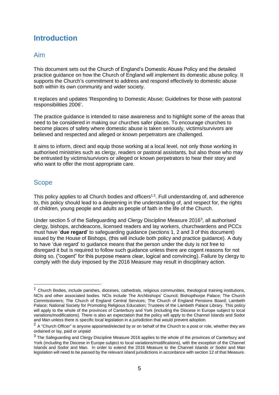## <span id="page-4-0"></span>**Introduction**

### Aim

This document sets out the Church of England's Domestic Abuse Policy and the detailed practice guidance on how the Church of England will implement its domestic abuse policy. It supports the Church's commitment to address and respond effectively to domestic abuse both within its own community and wider society.

It replaces and updates 'Responding to Domestic Abuse; Guidelines for those with pastoral responsibilities 2006'.

The practice guidance is intended to raise awareness and to highlight some of the areas that need to be considered in making our churches safer places. To encourage churches to become places of safety where domestic abuse is taken seriously, victims/survivors are believed and respected and alleged or known perpetrators are challenged.

It aims to inform, direct and equip those working at a local level, not only those working in authorised ministries such as clergy, readers or pastoral assistants, but also those who may be entrusted by victims/survivors or alleged or known perpetrators to hear their story and who want to offer the most appropriate care.

## **Scope**

1

This policy applies to all Church bodies and officers<sup>1,2</sup>. Full understanding of, and adherence to, this policy should lead to a deepening in the understanding of, and respect for, the rights of children, young people and adults as people of faith in the life of the Church.

Under section 5 of the Safeguarding and Clergy Discipline Measure 2016<sup>3</sup>, all authorised clergy, bishops, archdeacons, licensed readers and lay workers, churchwardens and PCCs must have '**due regard**' to safeguarding guidance (sections 1, 2 and 3 of this document) issued by the House of Bishops, (this will include both policy and practice guidance). A duty to have 'due regard' to guidance means that the person under the duty is not free to disregard it but is required to follow such guidance unless there are cogent reasons for not doing so, ("cogent" for this purpose means clear, logical and convincing). Failure by clergy to comply with the duty imposed by the 2016 Measure may result in disciplinary action.

 $1$  Church Bodies, include parishes, dioceses, cathedrals, religious communities, theological training institutions, NCIs and other associated bodies. NCIs include The Archbishops' Council; Bishopthorpe Palace; The Church Commissioners; The Church of England Central Services; The Church of England Pensions Board; Lambeth Palace; National Society for Promoting Religious Education; Trustees of the Lambeth Palace Library. This policy will apply to the whole of the provinces of Canterbury and York (including the Diocese in Europe subject to local variations/modifications). There is also an expectation that the policy will apply to the Channel Islands and Sodor and Man unless there is specific local legislation in a jurisdiction that would prevent adoption.

 $2A$  "Church Officer" is anyone appointed/elected by or on behalf of the Church to a post or role, whether they are ordained or lay, paid or unpaid

<sup>&</sup>lt;sup>3</sup> The Safeguarding and Clergy Discipline Measure 2016 applies to the whole of the provinces of Canterbury and York (including the Diocese in Europe subject to local variations/modifications), with the exception of the Channel Islands and Sodor and Man. In order to extend the 2016 Measure to the Channel Islands or Sodor and Man legislation will need to be passed by the relevant island jurisdictions in accordance with section 12 of that Measure.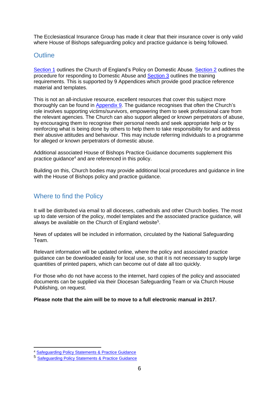The Ecclesiastical Insurance Group has made it clear that their insurance cover is only valid where House of Bishops safeguarding policy and practice guidance is being followed.

### **Outline**

[Section 1](#page-6-0) outlines the Church of England's Policy on Domestic Abuse. [Section 2](#page-10-0) outlines the procedure for responding to Domestic Abuse and [Section 3](#page-23-0) outlines the training requirements. This is supported by 9 Appendices which provide good practice reference material and templates.

This is not an all-inclusive resource, excellent resources that cover this subject more thoroughly can be found in [Appendix 9.](#page-51-0) The guidance recognises that often the Church's role involves supporting victims/survivors, empowering them to seek professional care from the relevant agencies. The Church can also support alleged or known perpetrators of abuse, by encouraging them to recognise their personal needs and seek appropriate help or by reinforcing what is being done by others to help them to take responsibility for and address their abusive attitudes and behaviour. This may include referring individuals to a programme for alleged or known perpetrators of domestic abuse.

Additional associated House of Bishops Practice Guidance documents supplement this practice guidance<sup>4</sup> and are referenced in this policy.

Building on this, Church bodies may provide additional local procedures and guidance in line with the House of Bishops policy and practice guidance.

### Where to find the Policy

It will be distributed via email to all dioceses, cathedrals and other Church bodies. The most up to date version of the policy, model templates and the associated practice guidance, will always be available on the Church of England website<sup>5</sup>.

News of updates will be included in information, circulated by the National Safeguarding Team.

Relevant information will be updated online, where the policy and associated practice guidance can be downloaded easily for local use, so that it is not necessary to supply large quantities of printed papers, which can become out of date all too quickly.

For those who do not have access to the internet, hard copies of the policy and associated documents can be supplied via their Diocesan Safeguarding Team or via Church House Publishing, on request.

**Please note that the aim will be to move to a full electronic manual in 2017**.

<sup>1</sup> <sup>4</sup> [Safeguarding Policy Statements & Practice Guidance](https://www.churchofengland.org/clergy-office-holders/safeguarding-children-vulnerable-adults/national-policy-practice-guidance.aspx)

<sup>5</sup> [Safeguarding Policy Statements & Practice Guidance](https://www.churchofengland.org/clergy-office-holders/safeguarding-children-vulnerable-adults/national-policy-practice-guidance.aspx)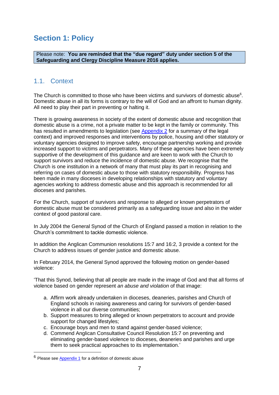## <span id="page-6-0"></span>**Section 1: Policy**

Please note: **You are reminded that the "due regard" duty under section 5 of the Safeguarding and Clergy Discipline Measure 2016 applies.**

## <span id="page-6-1"></span>1.1. Context

The Church is committed to those who have been victims and survivors of domestic abuse<sup>6</sup>. Domestic abuse in all its forms is contrary to the will of God and an affront to human dignity. All need to play their part in preventing or halting it.

There is growing awareness in society of the extent of domestic abuse and recognition that domestic abuse is a crime, not a private matter to be kept in the family or community. This has resulted in amendments to legislation (see [Appendix 2](#page-39-0) for a summary of the legal context) and improved responses and interventions by police, housing and other statutory or voluntary agencies designed to improve safety, encourage partnership working and provide increased support to victims and perpetrators. Many of these agencies have been extremely supportive of the development of this guidance and are keen to work with the Church to support survivors and reduce the incidence of domestic abuse. We recognise that the Church is one institution in a network of many that must play its part in recognising and referring on cases of domestic abuse to those with statutory responsibility. Progress has been made in many dioceses in developing relationships with statutory and voluntary agencies working to address domestic abuse and this approach is recommended for all dioceses and parishes.

For the Church, support of survivors and response to alleged or known perpetrators of domestic abuse must be considered primarily as a safeguarding issue and also in the wider context of good pastoral care.

In July 2004 the General Synod of the Church of England passed a motion in relation to the Church's commitment to tackle domestic violence.

In addition the Anglican Communion resolutions 15:7 and 16:2, 3 provide a context for the Church to address issues of gender justice and domestic abuse.

In February 2014, the General Synod approved the following motion on gender-based violence:

'That this Synod, believing that all people are made in the image of God and that all forms of violence based on gender represent *an abuse and violation* of that image:

- a. Affirm work already undertaken in dioceses, deaneries, parishes and Church of England schools in raising awareness and caring for survivors of gender-based violence in all our diverse communities;
- b. Support measures to bring alleged or known perpetrators to account and provide support for changed lifestyles;
- c. Encourage boys and men to stand against gender-based violence;
- d. Commend Anglican Consultative Council Resolution 15:7 on preventing and eliminating gender-based violence to dioceses, deaneries and parishes and urge them to seek practical approaches to its implementation.'

<u>.</u>

<sup>6</sup> Please see [Appendix 1](#page-24-0) for a definition of domestic abuse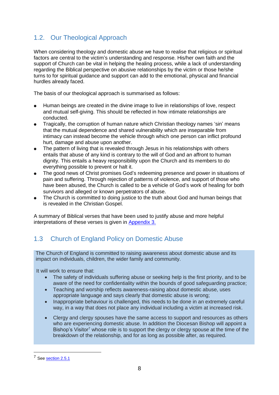## <span id="page-7-0"></span>1.2. Our Theological Approach

When considering theology and domestic abuse we have to realise that religious or spiritual factors are central to the victim's understanding and response. His/her own faith and the support of Church can be vital in helping the healing process, while a lack of understanding regarding the Biblical perspective on abusive relationships by the victim or those he/she turns to for spiritual guidance and support can add to the emotional, physical and financial hurdles already faced.

The basis of our theological approach is summarised as follows:

- Human beings are created in the divine image to live in relationships of love, respect and mutual self-giving. This should be reflected in how intimate relationships are conducted.
- Tragically, the corruption of human nature which Christian theology names 'sin' means that the mutual dependence and shared vulnerability which are inseparable from intimacy can instead become the vehicle through which one person can inflict profound hurt, damage and abuse upon another.
- The pattern of living that is revealed through Jesus in his relationships with others entails that abuse of any kind is contrary to the will of God and an affront to human dignity. This entails a heavy responsibility upon the Church and its members to do everything possible to prevent or halt it.
- The good news of Christ promises God's redeeming presence and power in situations of pain and suffering. Through rejection of patterns of violence, and support of those who have been abused, the Church is called to be a vehicle of God's work of healing for both survivors and alleged or known perpetrators of abuse.
- The Church is committed to doing justice to the truth about God and human beings that is revealed in the Christian Gospel.

A summary of Biblical verses that have been used to justify abuse and more helpful interpretations of these verses is given in [Appendix 3.](#page-42-0)

## <span id="page-7-1"></span>1.3 Church of England Policy on Domestic Abuse

The Church of England is committed to raising awareness about domestic abuse and its impact on individuals, children, the wider family and community.

It will work to ensure that:

- The safety of individuals suffering abuse or seeking help is the first priority, and to be aware of the need for confidentiality within the bounds of good safeguarding practice;
- Teaching and worship reflects awareness-raising about domestic abuse, uses appropriate language and says clearly that domestic abuse is wrong;
- Inappropriate behaviour is challenged, this needs to be done in an extremely careful way, in a way that does not place any individual including a victim at increased risk.
- Clergy and clergy spouses have the same access to support and resources as others who are experiencing domestic abuse. In addition the Diocesan Bishop will appoint a Bishop's Visitor<sup>7</sup> whose role is to support the clergy or clergy spouse at the time of the breakdown of the relationship, and for as long as possible after, as required.

<u>.</u>

<sup>7</sup> See [section 2.5.1](#page-17-0)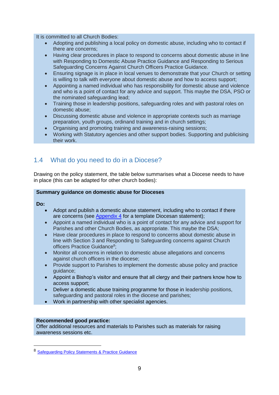It is committed to all Church Bodies:

- Adopting and publishing a local policy on domestic abuse, including who to contact if there are concerns;
- Having clear procedures in place to respond to concerns about domestic abuse in line with Responding to Domestic Abuse Practice Guidance and Responding to Serious Safeguarding Concerns Against Church Officers Practice Guidance.
- Ensuring signage is in place in local venues to demonstrate that your Church or setting is willing to talk with everyone about domestic abuse and how to access support;
- Appointing a named individual who has responsibility for domestic abuse and violence and who is a point of contact for any advice and support. This maybe the DSA, PSO or the nominated safeguarding lead;
- Training those in leadership positions, safeguarding roles and with pastoral roles on domestic abuse;
- Discussing domestic abuse and violence in appropriate contexts such as marriage preparation, youth groups, ordinand training and in church settings;
- Organising and promoting training and awareness-raising sessions;
- Working with Statutory agencies and other support bodies. Supporting and publicising their work.

## <span id="page-8-0"></span>1.4 What do you need to do in a Diocese?

Drawing on the policy statement, the table below summarises what a Diocese needs to have in place (this can be adapted for other church bodies):

#### **Summary guidance on domestic abuse for Dioceses**

**Do:**

1

- Adopt and publish a domestic abuse statement, including who to contact if there are concerns (see [Appendix 4](#page-44-0) for a template Diocesan statement);
- Appoint a named individual who is a point of contact for any advice and support for Parishes and other Church Bodies, as appropriate. This maybe the DSA;
- Have clear procedures in place to respond to concerns about domestic abuse in line with Section 3 and Responding to Safeguarding concerns against Church officers Practice Guidance<sup>8</sup>;
- Monitor all concerns in relation to domestic abuse allegations and concerns against church officers in the diocese;
- Provide support to Parishes to implement the domestic abuse policy and practice guidance;
- Appoint a Bishop's visitor and ensure that all clergy and their partners know how to access support;
- Deliver a domestic abuse training programme for those in leadership positions, safeguarding and pastoral roles in the diocese and parishes;
- Work in partnership with other specialist agencies.

#### **Recommended good practice:**

Offer additional resources and materials to Parishes such as materials for raising awareness sessions etc.

<sup>8</sup> [Safeguarding Policy Statements & Practice Guidance](https://www.churchofengland.org/clergy-office-holders/safeguarding-children-vulnerable-adults/national-policy-practice-guidance.aspx)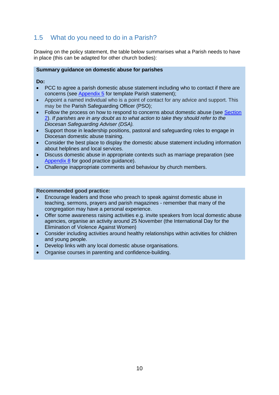## <span id="page-9-0"></span>1.5 What do you need to do in a Parish?

Drawing on the policy statement, the table below summarises what a Parish needs to have in place (this can be adapted for other church bodies):

#### **Summary guidance on domestic abuse for parishes**

**Do:**

- PCC to agree a parish domestic abuse statement including who to contact if there are concerns (see [Appendix 5](#page-44-1) for template Parish statement);
- Appoint a named individual who is a point of contact for any advice and support. This may be the Parish Safeguarding Officer (PSO);
- Follow the process on how to respond to concerns about domestic abuse (see [Section](#page-10-0)  [2\)](#page-10-0). *If parishes are in any doubt as to what action to take they should refer to the Diocesan Safeguarding Adviser (DSA).*
- Support those in leadership positions, pastoral and safeguarding roles to engage in Diocesan domestic abuse training.
- Consider the best place to display the domestic abuse statement including information about helplines and local services.
- Discuss domestic abuse in appropriate contexts such as marriage preparation (see [Appendix 8](#page-50-0) for good practice guidance).
- Challenge inappropriate comments and behaviour by church members.

#### **Recommended good practice:**

- Encourage leaders and those who preach to speak against domestic abuse in teaching, sermons, prayers and parish magazines - remember that many of the congregation may have a personal experience.
- Offer some awareness raising activities e.g. invite speakers from local domestic abuse agencies, organise an activity around 25 November (the International Day for the Elimination of Violence Against Women)
- Consider including activities around healthy relationships within activities for children and young people.
- Develop links with any local domestic abuse organisations.
- Organise courses in parenting and confidence-building.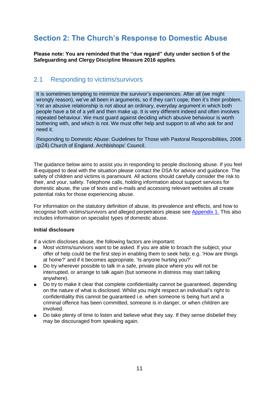## <span id="page-10-0"></span>**Section 2: The Church's Response to Domestic Abuse**

**Please note: You are reminded that the "due regard" duty under section 5 of the Safeguarding and Clergy Discipline Measure 2016 applies**.

### <span id="page-10-1"></span>2.1 Responding to victims/survivors

It is sometimes tempting to minimize the survivor's experiences. After all (we might wrongly reason), we've all been in arguments, so if they can't cope, then it's their problem. Yet an abusive relationship is not about an ordinary, everyday argument in which both people have a bit of a yell and then make up. It is very different indeed and often involves repeated behaviour. We must guard against deciding which abusive behaviour is worth bothering with, and which is not. We must offer help and support to all who ask for and need it.

Responding to Domestic Abuse: Guidelines for Those with Pastoral Responsibilities, 2006 (p24) Church of England. Archbishops' Council.

The guidance below aims to assist you in responding to people disclosing abuse. If you feel ill-equipped to deal with the situation please contact the DSA for advice and guidance. The safety of children and victims is paramount. All actions should carefully consider the risk to their, and your, safety. Telephone calls, holding information about support services for domestic abuse, the use of texts and e-mails and accessing relevant websites all create potential risks for those experiencing abuse.

For information on the statutory definition of abuse, its prevalence and effects, and how to recognise both victims/survivors and alleged perpetrators please see [Appendix 1.](#page-24-0) This also includes information on specialist types of domestic abuse.

#### **Initial disclosure**

If a victim discloses abuse, the following factors are important:

- Most victims/survivors want to be asked. If you are able to broach the subject, your offer of help could be the first step in enabling them to seek help; e.g. 'How are things at home?' and if it becomes appropriate, 'Is anyone hurting you?'
- Do try wherever possible to talk in a safe, private place where you will not be interrupted, or arrange to talk again (but someone in distress may start talking anywhere).
- Do try to make it clear that complete confidentiality cannot be guaranteed, depending on the nature of what is disclosed. Whilst you might respect an individual's right to confidentiality this cannot be guaranteed i.e. when someone is being hurt and a criminal offence has been committed, someone is in danger, or when children are involved.
- Do take plenty of time to listen and believe what they say. If they sense disbelief they may be discouraged from speaking again.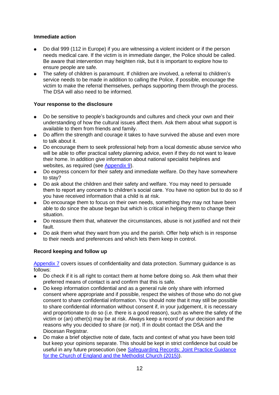#### **Immediate action**

- Do dial 999 (112 in Europe) if you are witnessing a violent incident or if the person needs medical care. If the victim is in immediate danger, the Police should be called. Be aware that intervention may heighten risk, but it is important to explore how to ensure people are safe.
- The safety of children is paramount. If children are involved, a referral to children's service needs to be made in addition to calling the Police, if possible, encourage the victim to make the referral themselves, perhaps supporting them through the process. The DSA will also need to be informed.

#### **Your response to the disclosure**

- Do be sensitive to people's backgrounds and cultures and check your own and their understanding of how the cultural issues affect them. Ask them about what support is available to them from friends and family.
- Do affirm the strength and courage it takes to have survived the abuse and even more to talk about it.
- Do encourage them to seek professional help from a local domestic abuse service who will be able to offer practical safety planning advice, even if they do not want to leave their home. In addition give information about national specialist helplines and websites, as required (see [Appendix 9\)](#page-51-0).
- Do express concern for their safety and immediate welfare. Do they have somewhere to stay?
- Do ask about the children and their safety and welfare. You may need to persuade them to report any concerns to children's social care. You have no option but to do so if you have received information that a child is at risk.
- Do encourage them to focus on their own needs, something they may not have been able to do since the abuse began but which is critical in helping them to change their situation.
- Do reassure them that, whatever the circumstances, abuse is not justified and not their fault.
- Do ask them what they want from you and the parish. Offer help which is in response to their needs and preferences and which lets them keep in control.

#### **Record keeping and follow up**

[Appendix 7](#page-48-0) covers issues of confidentiality and data protection. Summary guidance is as follows:

- Do check if it is all right to contact them at home before doing so. Ask them what their preferred means of contact is and confirm that this is safe.
- Do keep information confidential and as a general rule only share with informed consent where appropriate and if possible, respect the wishes of those who do not give consent to share confidential information. You should note that it may still be possible to share confidential information without consent if, in your judgement, it is necessary and proportionate to do so (i.e. there is a good reason), such as where the safety of the victim or (an) other(s) may be at risk. Always keep a record of your decision and the reasons why you decided to share (or not). If in doubt contact the DSA and the Diocesan Registrar.
- Do make a brief objective note of date, facts and context of what you have been told but keep your opinions separate. This should be kept in strict confidence but could be useful in any future prosecution (see [Safeguarding Records: Joint Practice Guidance](https://www.churchofengland.org/media/2254792/safeguarding%20joint%20practice%20guidance%20-%20safeguarding%20records.pdf)  [for the Church of England and the Methodist Church \(2015\)\)](https://www.churchofengland.org/media/2254792/safeguarding%20joint%20practice%20guidance%20-%20safeguarding%20records.pdf).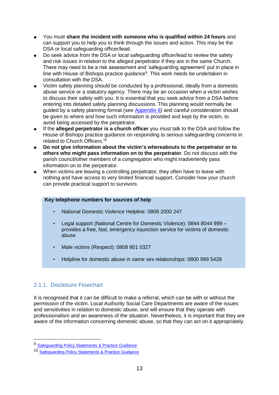- You must **share the incident with someone who is qualified within 24 hours** and can support you to help you to think through the issues and action. This may be the DSA or local safeguarding officer/lead.
- Do seek advice from the DSA or local safeguarding officer/lead to review the safety and risk issues in relation to the alleged perpetrator if they are in the same Church. There may need to be a risk assessment and 'safeguarding agreement' put in place in line with House of Bishops practice guidance<sup>9</sup>. This work needs be undertaken in consultation with the DSA.
- Victim safety planning should be conducted by a professional, ideally from a domestic abuse service or a statutory agency. There may be an occasion when a victim wishes to discuss their safety with you. It is essential that you seek advice from a DSA before entering into detailed safety planning discussions. This planning would normally be guided by a safety planning format (see [Appendix 6\)](#page-46-0) and careful consideration should be given to where and how such information is provided and kept by the victim, to avoid being accessed by the perpetrator.
- If the **alleged perpetrator is a church officer** you must talk to the DSA and follow the House of Bishops practice guidance on responding to serious safeguarding concerns in related to Church Officers.<sup>10</sup>
- **Do not give information about the victim's whereabouts to the perpetrator or to others who might pass information on to the perpetrator**. Do not discuss with the parish council/other members of a congregation who might inadvertently pass information on to the perpetrator.
- When victims are leaving a controlling perpetrator, they often have to leave with nothing and have access to very limited financial support. Consider how your church can provide practical support to survivors.

#### **Key telephone numbers for sources of help**

- National Domestic Violence Helpline: 0808 2000 247
- Legal support (National Centre for Domestic Violence): 0844 8044 999 provides a free, fast, emergency injunction service for victims of domestic abuse
- Male victims (Respect): 0808 801 0327
- Helpline for domestic abuse in same sex relationships: 0800 999 5428

### <span id="page-12-0"></span>2.1.1. Disclosure Flowchart

1

It is recognised that it can be difficult to make a referral, which can be with or without the permission of the victim. Local Authority Social Care Departments are aware of the issues and sensitivities in relation to domestic abuse, and will ensure that they operate with professionalism and an awareness of the situation. Nevertheless, it is important that they are aware of the information concerning domestic abuse, so that they can act on it appropriately.

<sup>9</sup> [Safeguarding Policy Statements & Practice Guidance](https://www.churchofengland.org/clergy-office-holders/safeguarding-children-vulnerable-adults/national-policy-practice-guidance.aspx)

<sup>10</sup> [Safeguarding Policy Statements & Practice Guidance](https://www.churchofengland.org/clergy-office-holders/safeguarding-children-vulnerable-adults/national-policy-practice-guidance.aspx)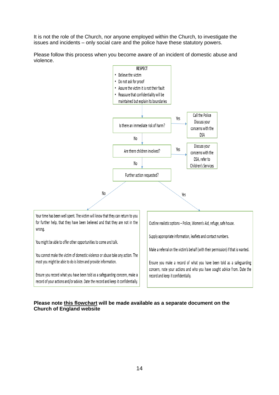It is not the role of the Church, nor anyone employed within the Church, to investigate the issues and incidents – only social care and the police have these statutory powers.

Please follow this process when you become aware of an incident of domestic abuse and violence.



#### **Please note this flowchart will be made available as a separate document on the Church of England website**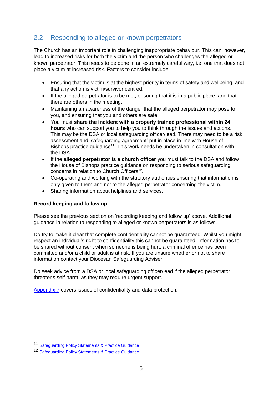## <span id="page-14-0"></span>2.2 Responding to alleged or known perpetrators

The Church has an important role in challenging inappropriate behaviour. This can, however, lead to increased risks for both the victim and the person who challenges the alleged or known perpetrator. This needs to be done in an extremely careful way, i.e. one that does not place a victim at increased risk. Factors to consider include:

- Ensuring that the victim is at the highest priority in terms of safety and wellbeing, and that any action is victim/survivor centred.
- If the alleged perpetrator is to be met, ensuring that it is in a public place, and that there are others in the meeting.
- Maintaining an awareness of the danger that the alleged perpetrator may pose to you, and ensuring that you and others are safe.
- You must **share the incident with a properly trained professional within 24 hours** who can support you to help you to think through the issues and actions. This may be the DSA or local safeguarding officer/lead. There may need to be a risk assessment and 'safeguarding agreement' put in place in line with House of Bishops practice quidance<sup>11</sup>. This work needs be undertaken in consultation with the DSA.
- If the **alleged perpetrator is a church officer** you must talk to the DSA and follow the House of Bishops practice guidance on responding to serious safeguarding concerns in relation to Church Officers<sup>12</sup>.
- Co-operating and working with the statutory authorities ensuring that information is only given to them and not to the alleged perpetrator concerning the victim.
- Sharing information about helplines and services.

#### **Record keeping and follow up**

Please see the previous section on 'recording keeping and follow up' above. Additional guidance in relation to responding to alleged or known perpetrators is as follows.

Do try to make it clear that complete confidentiality cannot be guaranteed. Whilst you might respect an individual's right to confidentiality this cannot be quaranteed. Information has to be shared without consent when someone is being hurt, a criminal offence has been committed and/or a child or adult is at risk. If you are unsure whether or not to share information contact your Diocesan Safeguarding Adviser.

Do seek advice from a DSA or local safeguarding officer/lead if the alleged perpetrator threatens self-harm, as they may require urgent support.

[Appendix 7](#page-48-0) covers issues of confidentiality and data protection.

1

<sup>11</sup> [Safeguarding Policy Statements & Practice Guidance](https://www.churchofengland.org/clergy-office-holders/safeguarding-children-vulnerable-adults/national-policy-practice-guidance.aspx)

<sup>12</sup> [Safeguarding Policy Statements & Practice Guidance](https://www.churchofengland.org/clergy-office-holders/safeguarding-children-vulnerable-adults/national-policy-practice-guidance.aspx)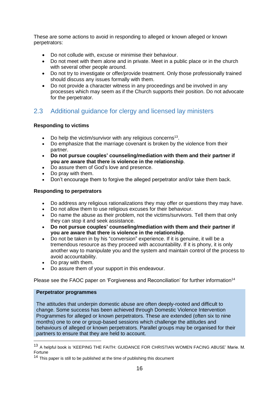These are some actions to avoid in responding to alleged or known alleged or known perpetrators:

- Do not collude with, excuse or minimise their behaviour.
- Do not meet with them alone and in private. Meet in a public place or in the church with several other people around.
- Do not try to investigate or offer/provide treatment. Only those professionally trained should discuss any issues formally with them.
- Do not provide a character witness in any proceedings and be involved in any processes which may seem as if the Church supports their position. Do not advocate for the perpetrator.

## <span id="page-15-0"></span>2.3 Additional guidance for clergy and licensed lay ministers

#### **Responding to victims**

- Do help the victim/survivor with any religious concerns<sup>13</sup>.
- Do emphasize that the marriage covenant is broken by the violence from their partner.
- **Do not pursue couples' counseling/mediation with them and their partner if you are aware that there is violence in the relationship**.
- Do assure them of God's love and presence.
- Do pray with them.
- Don't encourage them to forgive the alleged perpetrator and/or take them back.

#### **Responding to perpetrators**

- Do address any religious rationalizations they may offer or questions they may have.
- Do not allow them to use religious excuses for their behaviour.
- Do name the abuse as their problem, not the victims/survivors. Tell them that only they can stop it and seek assistance.
- **Do not pursue couples' counseling/mediation with them and their partner if you are aware that there is violence in the relationship**.
- Do not be taken in by his "conversion" experience. If it is genuine, it will be a tremendous resource as they proceed with accountability. If it is phony, it is only another way to manipulate you and the system and maintain control of the process to avoid accountability.
- Do pray with them.
- Do assure them of your support in this endeavour.

Please see the FAOC paper on 'Forgiveness and Reconciliation' for further information<sup>14</sup>

#### **Perpetrator programmes**

1

The attitudes that underpin domestic abuse are often deeply-rooted and difficult to change. Some success has been achieved through Domestic Violence Intervention Programmes for alleged or known perpetrators. These are extended (often six to nine months) one to one or group-based sessions which challenge the attitudes and behaviours of alleged or known perpetrators. Parallel groups may be organised for their partners to ensure that they are held to account.

<sup>13</sup> A helpful book is 'KEEPING THE FAITH: GUIDANCE FOR CHRISTIAN WOMEN FACING ABUSE' Marie. M. Fortune

 $14$  This paper is still to be published at the time of publishing this document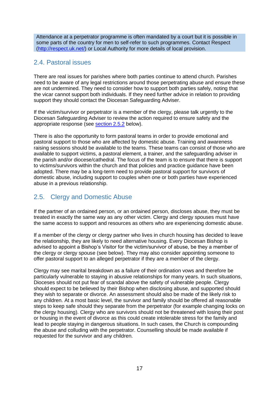Attendance at a perpetrator programme is often mandated by a court but it is possible in some parts of the country for men to self-refer to such programmes. Contact Respect [\(http://respect.uk.net/\)](http://respect.uk.net/) or Local Authority for more details of local provision.

## <span id="page-16-0"></span>2.4. Pastoral issues

There are real issues for parishes where both parties continue to attend church. Parishes need to be aware of any legal restrictions around those perpetrating abuse and ensure these are not undermined. They need to consider how to support both parties safely, noting that the vicar cannot support both individuals. If they need further advice in relation to providing support they should contact the Diocesan Safeguarding Adviser.

If the victim/survivor or perpetrator is a member of the clergy, please talk urgently to the Diocesan Safeguarding Adviser to review the action required to ensure safety and the appropriate response (see [section 2.5.2](#page-17-1) below).

There is also the opportunity to form pastoral teams in order to provide emotional and pastoral support to those who are affected by domestic abuse. Training and awareness raising sessions should be available to the teams. These teams can consist of those who are available to support victims, a pastoral element, a trainer, and the safeguarding adviser in the parish and/or diocese/cathedral. The focus of the team is to ensure that there is support to victims/survivors within the church and that policies and practice guidance have been adopted. There may be a long-term need to provide pastoral support for survivors of domestic abuse, including support to couples when one or both parties have experienced abuse in a previous relationship.

## <span id="page-16-1"></span>2.5. Clergy and Domestic Abuse

If the partner of an ordained person, or an ordained person, discloses abuse, they must be treated in exactly the same way as any other victim. Clergy and clergy spouses must have the same access to support and resources as others who are experiencing domestic abuse.

If a member of the clergy or clergy partner who lives in church housing has decided to leave the relationship, they are likely to need alternative housing. Every Diocesan Bishop is advised to appoint a Bishop's Visitor for the victim/survivor of abuse, be they a member of the clergy or clergy spouse (see below). They may also consider appointing someone to offer pastoral support to an alleged perpetrator if they are a member of the clergy.

Clergy may see marital breakdown as a failure of their ordination vows and therefore be particularly vulnerable to staying in abusive relationships for many years. In such situations, Dioceses should not put fear of scandal above the safety of vulnerable people. Clergy should expect to be believed by their Bishop when disclosing abuse, and supported should they wish to separate or divorce. An assessment should also be made of the likely risk to any children. At a most basic level, the survivor and family should be offered all reasonable steps to keep safe should they separate from the perpetrator (for example changing locks on the clergy housing). Clergy who are survivors should not be threatened with losing their post or housing in the event of divorce as this could create intolerable stress for the family and lead to people staying in dangerous situations. In such cases, the Church is compounding the abuse and colluding with the perpetrator. Counselling should be made available if requested for the survivor and any children.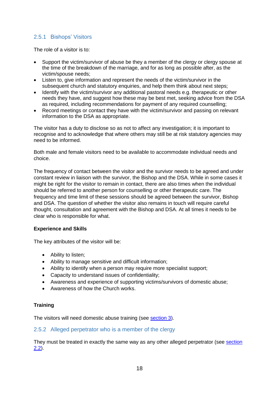### <span id="page-17-0"></span>2.5.1 Bishops' Visitors

The role of a visitor is to:

- Support the victim/survivor of abuse be they a member of the clergy or clergy spouse at the time of the breakdown of the marriage, and for as long as possible after, as the victim/spouse needs;
- Listen to, give information and represent the needs of the victim/survivor in the subsequent church and statutory enquiries, and help them think about next steps;
- Identify with the victim/survivor any additional pastoral needs e.g. therapeutic or other needs they have, and suggest how these may be best met, seeking advice from the DSA as required, including recommendations for payment of any required counselling;
- Record meetings or contact they have with the victim/survivor and passing on relevant information to the DSA as appropriate.

The visitor has a duty to disclose so as not to affect any investigation; it is important to recognise and to acknowledge that where others may still be at risk statutory agencies may need to be informed.

Both male and female visitors need to be available to accommodate individual needs and choice.

The frequency of contact between the visitor and the survivor needs to be agreed and under constant review in liaison with the survivor, the Bishop and the DSA. While in some cases it might be right for the visitor to remain in contact, there are also times when the individual should be referred to another person for counselling or other therapeutic care. The frequency and time limit of these sessions should be agreed between the survivor, Bishop and DSA. The question of whether the visitor also remains in touch will require careful thought, consultation and agreement with the Bishop and DSA. At all times it needs to be clear who is responsible for what.

#### **Experience and Skills**

The key attributes of the visitor will be:

- Ability to listen;
- Ability to manage sensitive and difficult information;
- Ability to identify when a person may require more specialist support;
- Capacity to understand issues of confidentiality:
- Awareness and experience of supporting victims/survivors of domestic abuse;
- Awareness of how the Church works.

#### **Training**

The visitors will need domestic abuse training (see [section 3\)](#page-23-0).

#### <span id="page-17-1"></span>2.5.2 Alleged perpetrator who is a member of the clergy

They must be treated in exactly the same way as any other alleged perpetrator (see [section](#page-14-0)  [2.2\)](#page-14-0).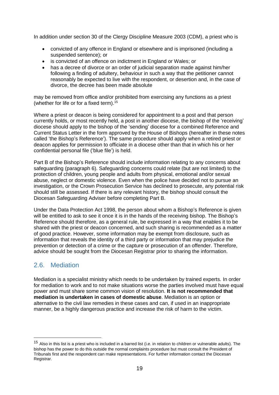In addition under section 30 of the Clergy Discipline Measure 2003 (CDM), a priest who is

- convicted of any offence in England or elsewhere and is imprisoned (including a suspended sentence); or
- is convicted of an offence on indictment in England or Wales; or
- has a decree of divorce or an order of judicial separation made against him/her following a finding of adultery, behaviour in such a way that the petitioner cannot reasonably be expected to live with the respondent, or desertion and, in the case of divorce, the decree has been made absolute

may be removed from office and/or prohibited from exercising any functions as a priest (whether for life or for a fixed term).<sup>15</sup>

Where a priest or deacon is being considered for appointment to a post and that person currently holds, or most recently held, a post in another diocese, the bishop of the 'receiving' diocese should apply to the bishop of the 'sending' diocese for a combined Reference and Current Status Letter in the form approved by the House of Bishops (hereafter in these notes called 'the Bishop's Reference'). The same procedure should apply when a retired priest or deacon applies for permission to officiate in a diocese other than that in which his or her confidential personal file ('blue file') is held.

Part B of the Bishop's Reference should include information relating to any concerns about safeguarding (paragraph 6). Safeguarding concerns could relate (but are not limited) to the protection of children, young people and adults from physical, emotional and/or sexual abuse, neglect or domestic violence. Even when the police have decided not to pursue an investigation, or the Crown Prosecution Service has declined to prosecute, any potential risk should still be assessed. If there is any relevant history, the bishop should consult the Diocesan Safeguarding Adviser before completing Part B.

Under the Data Protection Act 1998, the person about whom a Bishop's Reference is given will be entitled to ask to see it once it is in the hands of the receiving bishop. The Bishop's Reference should therefore, as a general rule, be expressed in a way that enables it to be shared with the priest or deacon concerned, and such sharing is recommended as a matter of good practice. However, some information may be exempt from disclosure, such as information that reveals the identity of a third party or information that may prejudice the prevention or detection of a crime or the capture or prosecution of an offender. Therefore, advice should be sought from the Diocesan Registrar prior to sharing the information.

## <span id="page-18-0"></span>2.6. Mediation

1

Mediation is a specialist ministry which needs to be undertaken by trained experts. In order for mediation to work and to not make situations worse the parties involved must have equal power and must share some common vision of resolution. **It is not recommended that mediation is undertaken in cases of domestic abuse**. Mediation is an option or alternative to the civil law remedies in these cases and can, if used in an inappropriate manner, be a highly dangerous practice and increase the risk of harm to the victim.

 $15$  Also in this list is a priest who is included in a barred list (i.e. in relation to children or vulnerable adults). The bishop has the power to do this outside the normal complaints procedure but must consult the President of Tribunals first and the respondent can make representations. For further information contact the Diocesan Registrar.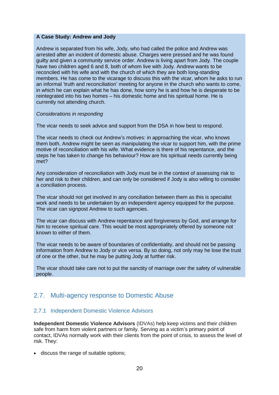#### **A Case Study: Andrew and Jody**

Andrew is separated from his wife, Jody, who had called the police and Andrew was arrested after an incident of domestic abuse. Charges were pressed and he was found guilty and given a community service order. Andrew is living apart from Jody. The couple have two children aged 6 and 8, both of whom live with Jody. Andrew wants to be reconciled with his wife and with the church of which they are both long-standing members. He has come to the vicarage to discuss this with the vicar, whom he asks to run an informal 'truth and reconciliation' meeting for anyone in the church who wants to come, in which he can explain what he has done, how sorry he is and how he is desperate to be reintegrated into his two homes – his domestic home and his spiritual home. He is currently not attending church.

#### *Considerations in responding*

The vicar needs to seek advice and support from the DSA in how best to respond.

The vicar needs to check out Andrew's motives: in approaching the vicar, who knows them both, Andrew might be seen as manipulating the vicar to support him, with the prime motive of reconciliation with his wife. What evidence is there of his repentance, and the steps he has taken to change his behaviour? How are his spiritual needs currently being met?

Any consideration of reconciliation with Jody must be in the context of assessing risk to her and risk to their children, and can only be considered if Jody is also willing to consider a conciliation process.

The vicar should not get involved in any conciliation between them as this is specialist work and needs to be undertaken by an independent agency equipped for the purpose. The vicar can signpost Andrew to such agencies.

The vicar can discuss with Andrew repentance and forgiveness by God, and arrange for him to receive spiritual care. This would be most appropriately offered by someone not known to either of them.

The vicar needs to be aware of boundaries of confidentiality, and should not be passing information from Andrew to Jody or vice versa. By so doing, not only may he lose the trust of one or the other, but he may be putting Jody at further risk.

The vicar should take care not to put the sanctity of marriage over the safety of vulnerable people.

### <span id="page-19-0"></span>2.7. Multi-agency response to Domestic Abuse

#### 2.7.1 Independent Domestic Violence Advisors

**Independent Domestic Violence Advisors** (IDVAs) help keep victims and their children safe from harm from violent partners or family. Serving as a victim's primary point of contact, IDVAs normally work with their clients from the point of crisis, to assess the level of risk. They:

discuss the range of suitable options;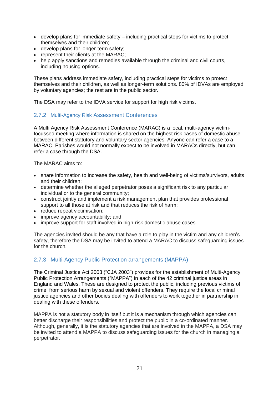- develop plans for immediate safety including practical steps for victims to protect themselves and their children;
- develop plans for longer-term safety;
- represent their clients at the MARAC;
- help apply sanctions and remedies available through the criminal and civil courts, including housing options.

These plans address immediate safety, including practical steps for victims to protect themselves and their children, as well as longer-term solutions. 80% of IDVAs are employed by voluntary agencies; the rest are in the public sector.

The DSA may refer to the IDVA service for support for high risk victims.

#### 2.7.2 Multi-Agency Risk Assessment Conferences

A Multi Agency Risk Assessment Conference (MARAC) is a local, multi-agency victimfocussed meeting where information is shared on the highest risk cases of domestic abuse between different statutory and voluntary sector agencies. Anyone can refer a case to a MARAC. Parishes would not normally expect to be involved in MARACs directly, but can refer a case through the DSA.

The MARAC aims to:

- share information to increase the safety, health and well-being of victims/survivors, adults and their children;
- determine whether the alleged perpetrator poses a significant risk to any particular individual or to the general community;
- construct jointly and implement a risk management plan that provides professional support to all those at risk and that reduces the risk of harm;
- reduce repeat victimisation;
- improve agency accountability; and
- improve support for staff involved in high-risk domestic abuse cases.

The agencies invited should be any that have a role to play in the victim and any children's safety, therefore the DSA may be invited to attend a MARAC to discuss safeguarding issues for the church.

### 2.7.3 Multi-Agency Public Protection arrangements (MAPPA)

The Criminal Justice Act 2003 ("CJA 2003") provides for the establishment of Multi-Agency Public Protection Arrangements ("MAPPA") in each of the 42 criminal justice areas in England and Wales. These are designed to protect the public, including previous victims of crime, from serious harm by sexual and violent offenders. They require the local criminal justice agencies and other bodies dealing with offenders to work together in partnership in dealing with these offenders.

MAPPA is not a statutory body in itself but it is a mechanism through which agencies can better discharge their responsibilities and protect the public in a co-ordinated manner. Although, generally, it is the statutory agencies that are involved in the MAPPA, a DSA may be invited to attend a MAPPA to discuss safeguarding issues for the church in managing a perpetrator.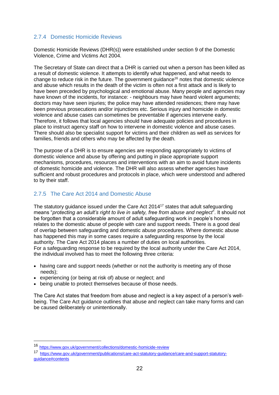#### 2.7.4 Domestic Homicide Reviews

Domestic Homicide Reviews (DHR(s)) were established under section 9 of the Domestic Violence, Crime and Victims Act 2004.

The Secretary of State can direct that a DHR is carried out when a person has been killed as a result of domestic violence. It attempts to identify what happened, and what needs to change to reduce risk in the future. The government guidance<sup>16</sup> notes that domestic violence and abuse which results in the death of the victim is often not a first attack and is likely to have been preceded by psychological and emotional abuse. Many people and agencies may have known of the incidents, for instance: - neighbours may have heard violent arguments; doctors may have seen injuries; the police may have attended residences; there may have been previous prosecutions and/or injunctions etc. Serious injury and homicide in domestic violence and abuse cases can sometimes be preventable if agencies intervene early. Therefore, it follows that local agencies should have adequate policies and procedures in place to instruct agency staff on how to intervene in domestic violence and abuse cases. There should also be specialist support for victims and their children as well as services for families, friends and others who may be affected by the death.

The purpose of a DHR is to ensure agencies are responding appropriately to victims of domestic violence and abuse by offering and putting in place appropriate support mechanisms, procedures, resources and interventions with an aim to avoid future incidents of domestic homicide and violence. The DHR will also assess whether agencies have sufficient and robust procedures and protocols in place, which were understood and adhered to by their staff.

#### 2.7.5 The Care Act 2014 and Domestic Abuse

The statutory guidance issued under the Care Act 2014<sup>17</sup> states that adult safeguarding means "*protecting an adult's right to live in safety, free from abuse and neglect*". It should not be forgotten that a considerable amount of adult safeguarding work in people's homes relates to the domestic abuse of people with care and support needs. There is a good deal of overlap between safeguarding and domestic abuse procedures. Where domestic abuse has happened this may in some cases require a safeguarding response by the local authority. The Care Act 2014 places a number of duties on local authorities. For a safeguarding response to be required by the local authority under the Care Act 2014, the individual involved has to meet the following three criteria:

- having care and support needs (whether or not the authority is meeting any of those needs);
- experiencing (or being at risk of) abuse or neglect; and
- being unable to protect themselves because of those needs.

The Care Act states that freedom from abuse and neglect is a key aspect of a person's wellbeing. The Care Act guidance outlines that abuse and neglect can take many forms and can be caused deliberately or unintentionally.

1

<sup>16</sup> <https://www.gov.uk/government/collections/domestic-homicide-review>

<sup>17</sup> [https://www.gov.uk/government/publications/care-act-statutory-guidance/care-and-support-statutory](https://www.gov.uk/government/publications/care-act-statutory-guidance/care-and-support-statutory-guidance#contents)[guidance#contents](https://www.gov.uk/government/publications/care-act-statutory-guidance/care-and-support-statutory-guidance#contents)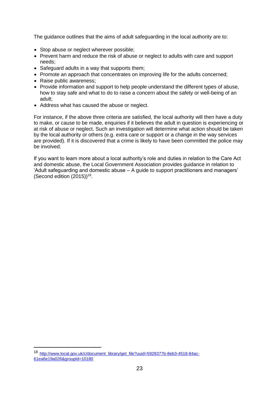The guidance outlines that the aims of adult safeguarding in the local authority are to:

- Stop abuse or neglect wherever possible;
- Prevent harm and reduce the risk of abuse or neglect to adults with care and support needs;
- Safeguard adults in a way that supports them;
- Promote an approach that concentrates on improving life for the adults concerned;
- Raise public awareness:

1

- Provide information and support to help people understand the different types of abuse, how to stay safe and what to do to raise a concern about the safety or well-being of an adult;
- Address what has caused the abuse or neglect.

For instance, if the above three criteria are satisfied, the local authority will then have a duty to make, or cause to be made, enquiries if it believes the adult in question is experiencing or at risk of abuse or neglect. Such an investigation will determine what action should be taken by the local authority or others (e.g. extra care or support or a change in the way services are provided). If it is discovered that a crime is likely to have been committed the police may be involved.

If you want to learn more about a local authority's role and duties in relation to the Care Act and domestic abuse, the Local Government Association provides guidance in relation to 'Adult safeguarding and domestic abuse – [A guide to support practitioners and managers'](http://www.local.gov.uk/c/document_library/get_file?uuid=5928377b-8eb3-4518-84ac-61ea6e19a026&groupId=10180) (Second edition  $(2015)$ <sup>18</sup>.

<sup>18</sup> [http://www.local.gov.uk/c/document\\_library/get\\_file?uuid=5928377b-8eb3-4518-84ac-](http://www.local.gov.uk/c/document_library/get_file?uuid=5928377b-8eb3-4518-84ac-61ea6e19a026&groupId=10180)[61ea6e19a026&groupId=10180](http://www.local.gov.uk/c/document_library/get_file?uuid=5928377b-8eb3-4518-84ac-61ea6e19a026&groupId=10180)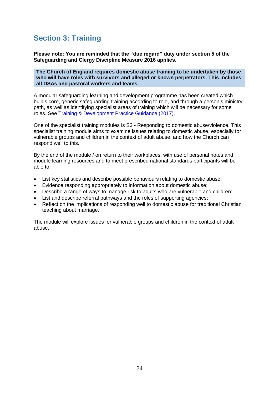## <span id="page-23-0"></span>**Section 3: Training**

**Please note: You are reminded that the "due regard" duty under section 5 of the Safeguarding and Clergy Discipline Measure 2016 applies**.

**The Church of England requires domestic abuse training to be undertaken by those who will have roles with survivors and alleged or known perpetrators. This includes all DSAs and pastoral workers and teams.**

A modular safeguarding learning and development programme has been created which builds core, generic safeguarding training according to role, and through a person's ministry path, as well as identifying specialist areas of training which will be necessary for some roles. See [Training & Development Practice Guidance \(2017\).](https://www.churchofengland.org/media/3791799/approved-practice-guidance-safeguarding-training-and-development.pdf)

One of the specialist training modules is S3 - Responding to domestic abuse/violence. This specialist training module aims to examine issues relating to domestic abuse, especially for vulnerable groups and children in the context of adult abuse, and how the Church can respond well to this.

By the end of the module / on return to their workplaces, with use of personal notes and module learning resources and to meet prescribed national standards participants will be able to:

- List key statistics and describe possible behaviours relating to domestic abuse;
- Evidence responding appropriately to information about domestic abuse;
- Describe a range of ways to manage risk to adults who are vulnerable and children;
- List and describe referral pathways and the roles of supporting agencies;
- Reflect on the implications of responding well to domestic abuse for traditional Christian teaching about marriage.

The module will explore issues for vulnerable groups and children in the context of adult abuse.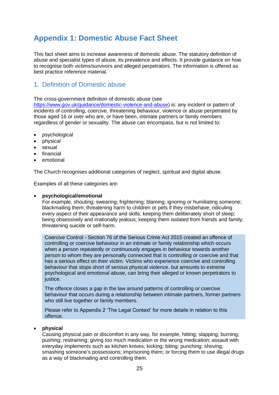## <span id="page-24-0"></span>**Appendix 1: Domestic Abuse Fact Sheet**

This fact sheet aims to increase awareness of domestic abuse. The statutory definition of abuse and specialist types of abuse, its prevalence and effects. It provide guidance on how to recognise both victims/survivors and alleged perpetrators. The information is offered as best practice reference material.

## 1. Definition of Domestic abuse

The cross-government definition of domestic abuse (see

[https://www.gov.uk/guidance/domestic-violence-and-abuse\)](https://www.gov.uk/guidance/domestic-violence-and-abuse) is: any incident or pattern of incidents of controlling, coercive, threatening behaviour, violence or abuse perpetrated by those aged 16 or over who are, or have been, intimate partners or family members regardless of gender or sexuality. The abuse can encompass, but is not limited to:

- psychological
- physical
- sexual
- $\bullet$  financial
- emotional

The Church recognises additional categories of neglect, spiritual and digital abuse.

Examples of all these categories are:

#### **psychological/emotional**

For example, shouting; swearing; frightening; blaming; ignoring or humiliating someone; blackmailing them; threatening harm to children or pets if they misbehave; ridiculing every aspect of their appearance and skills; keeping them deliberately short of sleep; being obsessively and irrationally jealous; keeping them isolated from friends and family; threatening suicide or self-harm.

Coercive Control - Section 76 of the Serious Crime Act 2015 created an offence of controlling or coercive behaviour in an intimate or family relationship which occurs when a person repeatedly or continuously engages in behaviour towards another person to whom they are personally connected that is controlling or coercive and that has a serious effect on their victim. Victims who experience coercive and controlling behaviour that stops short of serious physical violence, but amounts to extreme psychological and emotional abuse, can bring their alleged or known perpetrators to justice.

The offence closes a gap in the law around patterns of controlling or coercive behaviour that occurs during a relationship between intimate partners, former partners who still live together or family members.

Please refer to Appendix 2 'The Legal Context' for more details in relation to this offence.

#### **physical**

Causing physical pain or discomfort in any way, for example, hitting; slapping; burning; pushing; restraining; giving too much medication or the wrong medication; assault with everyday implements such as kitchen knives; kicking; biting; punching; shoving; smashing someone's possessions; imprisoning them; or forcing them to use illegal drugs as a way of blackmailing and controlling them.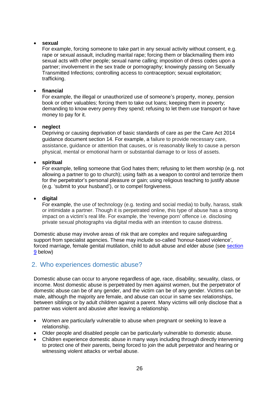#### **sexual**

For example, forcing someone to take part in any sexual activity without consent, e.g. rape or sexual assault, including marital rape; forcing them or blackmailing them into sexual acts with other people; sexual name calling; imposition of dress codes upon a partner; involvement in the sex trade or pornography; knowingly passing on Sexually Transmitted Infections; controlling access to contraception; sexual exploitation; trafficking.

#### **financial**

For example, the illegal or unauthorized use of someone's property, money, pension book or other valuables; forcing them to take out loans; keeping them in poverty; demanding to know every penny they spend; refusing to let them use transport or have money to pay for it.

#### **neglect**

Depriving or causing deprivation of basic standards of care as per the Care Act 2014 guidance document section 14. For example, a failure to provide necessary care, assistance, guidance or attention that causes, or is reasonably likely to cause a person physical, mental or emotional harm or substantial damage to or loss of assets.

#### **spiritual**

For example, telling someone that God hates them; refusing to let them worship (e.g. not allowing a partner to go to church); using faith as a weapon to control and terrorize them for the perpetrator's personal pleasure or gain; using religious teaching to justify abuse (e.g. 'submit to your husband'), or to compel forgiveness.

#### **digital**

For example, the use of technology (e.g. texting and social media) to bully, harass, stalk or intimidate a partner. Though it is perpetrated online, this type of abuse has a strong impact on a victim's real life. For example, the 'revenge porn' offence i.e. disclosing private sexual photographs via digital media with an intention to cause distress.

Domestic abuse may involve areas of risk that are complex and require safeguarding support from specialist agencies. These may include so-called 'honour-based violence', forced marriage, female genital mutilation, child to adult abuse and elder abuse (see [section](#page-31-0)  [9](#page-31-0) below)

### 2. Who experiences domestic abuse?

Domestic abuse can occur to anyone regardless of age, race, disability, sexuality, class, or income. Most domestic abuse is perpetrated by men against women, but the perpetrator of domestic abuse can be of any gender, and the victim can be of any gender. Victims can be male, although the majority are female, and abuse can occur in same sex relationships, between siblings or by adult children against a parent. Many victims will only disclose that a partner was violent and abusive after leaving a relationship.

- Women are particularly vulnerable to abuse when pregnant or seeking to leave a relationship.
- Older people and disabled people can be particularly vulnerable to domestic abuse.
- Children experience domestic abuse in many ways including through directly intervening to protect one of their parents, being forced to join the adult perpetrator and hearing or witnessing violent attacks or verbal abuse.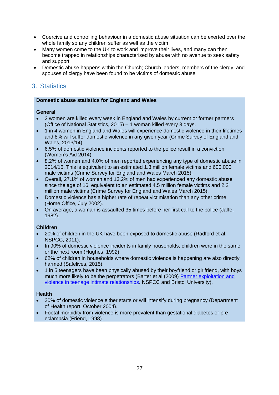- Coercive and controlling behaviour in a domestic abuse situation can be exerted over the whole family so any children suffer as well as the victim
- Many women come to the UK to work and improve their lives, and many can then become trapped in relationships characterised by abuse with no avenue to seek safety and support
- Domestic abuse happens within the Church; Church leaders, members of the clergy, and spouses of clergy have been found to be victims of domestic abuse

## 3. Statistics

#### **Domestic abuse statistics for England and Wales**

#### **General**

- 2 women are killed every week in England and Wales by current or former partners (Office of National Statistics, 2015) – 1 woman killed every 3 days.
- 1 in 4 women in England and Wales will experience domestic violence in their lifetimes and 8% will suffer domestic violence in any given year (Crime Survey of England and Wales, 2013/14).
- 6.5% of domestic violence incidents reported to the police result in a conviction (Women's Aid 2014).
- 8.2% of women and 4.0% of men reported experiencing any type of domestic abuse in 2014/15. This is equivalent to an estimated 1.3 million female victims and 600,000 male victims (Crime Survey for England and Wales March 2015).
- Overall, 27.1% of women and 13.2% of men had experienced any domestic abuse since the age of 16, equivalent to an estimated 4.5 million female victims and 2.2 million male victims (Crime Survey for England and Wales March 2015).
- Domestic violence has a higher rate of repeat victimisation than any other crime (Home Office, July 2002).
- On average, a woman is assaulted 35 times before her first call to the police (Jaffe, 1982).

#### **Children**

- 20% of children in the UK have been exposed to domestic abuse (Radford et al. NSPCC, 2011).
- In 90% of domestic violence incidents in family households, children were in the same or the next room (Hughes, 1992).
- 62% of children in households where domestic violence is happening are also directly harmed (Safelives, 2015).
- 1 in 5 teenagers have been physically abused by their boyfriend or girlfriend, with boys much more likely to be the perpetrators (Barter et al (2009) [Partner exploitation and](https://www.nspcc.org.uk/services-and-resources/research-and-resources/pre-2013/partner-exploitation-and-violence-in-teenage-intimate-relationships/)  [violence in teenage intimate relationships.](https://www.nspcc.org.uk/services-and-resources/research-and-resources/pre-2013/partner-exploitation-and-violence-in-teenage-intimate-relationships/) NSPCC and Bristol University).

#### **Health**

- 30% of domestic violence either starts or will intensify during pregnancy (Department of Health report, October 2004).
- Foetal morbidity from violence is more prevalent than gestational diabetes or preeclampsia (Friend, 1998).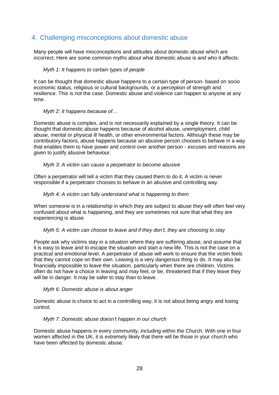## 4. Challenging misconceptions about domestic abuse

Many people will have misconceptions and attitudes about domestic abuse which are incorrect. Here are some common myths about what domestic abuse is and who it affects:

#### *Myth 1: It happens to certain types of people*

It can be thought that domestic abuse happens to a certain type of person- based on socio economic status, religious or cultural backgrounds, or a perception of strength and resilience. This is not the case. Domestic abuse and violence can happen to anyone at any time.

#### *Myth 2: It happens because of…*

Domestic abuse is complex, and is not necessarily explained by a single theory. It can be thought that domestic abuse happens because of alcohol abuse, unemployment, child abuse, mental or physical ill health, or other environmental factors. Although these may be contributory factors, abuse happens because an abusive person chooses to behave in a way that enables them to have power and control over another person - excuses and reasons are given to justify abusive behaviour.

#### *Myth 3: A victim can cause a perpetrator to become abusive*

Often a perpetrator will tell a victim that they caused them to do it. A victim is never responsible if a perpetrator chooses to behave in an abusive and controlling way.

#### *Myth 4: A victim can fully understand what is happening to them*

When someone is in a relationship in which they are subject to abuse they will often feel very confused about what is happening, and they are sometimes not sure that what they are experiencing is abuse.

#### *Myth 5: A victim can choose to leave and if they don't, they are choosing to stay*

People ask why victims stay in a situation where they are suffering abuse, and assume that it is easy to leave and to escape the situation and start a new life. This is not the case on a practical and emotional level. A perpetrator of abuse will work to ensure that the victim feels that they cannot cope on their own. Leaving is a very dangerous thing to do. It may also be financially impossible to leave the situation, particularly when there are children. Victims often do not have a choice in leaving and may feel, or be, threatened that if they leave they will be in danger. It may be safer to stay than to leave.

#### *Myth 6: Domestic abuse is about anger*

Domestic abuse is choice to act in a controlling way; it is not about being angry and losing control.

#### *Myth 7: Domestic abuse doesn't happen in our church*

Domestic abuse happens in every community, including within the Church. With one in four women affected in the UK, it is extremely likely that there will be those in your church who have been affected by domestic abuse.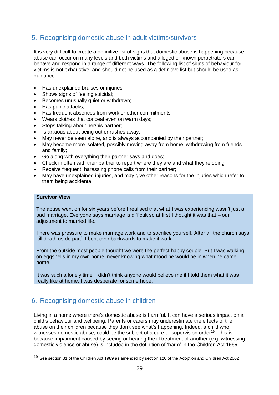## 5. Recognising domestic abuse in adult victims/survivors

It is very difficult to create a definitive list of signs that domestic abuse is happening because abuse can occur on many levels and both victims and alleged or known perpetrators can behave and respond in a range of different ways. The following list of signs of behaviour for victims is not exhaustive, and should not be used as a definitive list but should be used as guidance.

- Has unexplained bruises or injuries;
- Shows signs of feeling suicidal;
- **Becomes unusually quiet or withdrawn;**
- Has panic attacks:
- Has frequent absences from work or other commitments;
- Wears clothes that conceal even on warm days;
- Stops talking about her/his partner;
- Is anxious about being out or rushes away;
- May never be seen alone, and is always accompanied by their partner;
- May become more isolated, possibly moving away from home, withdrawing from friends and family;
- Go along with everything their partner says and does;
- Check in often with their partner to report where they are and what they're doing:
- Receive frequent, harassing phone calls from their partner;
- May have unexplained injuries, and may give other reasons for the injuries which refer to them being accidental

#### **Survivor View**

<u>.</u>

The abuse went on for six years before I realised that what I was experiencing wasn't just a bad marriage. Everyone says marriage is difficult so at first I thought it was that – our adiustment to married life.

There was pressure to make marriage work and to sacrifice yourself. After all the church says 'till death us do part'. I bent over backwards to make it work.

From the outside most people thought we were the perfect happy couple. But I was walking on eggshells in my own home, never knowing what mood he would be in when he came home.

It was such a lonely time. I didn't think anyone would believe me if I told them what it was really like at home. I was desperate for some hope.

## 6. Recognising domestic abuse in children

Living in a home where there's domestic abuse is harmful. It can have a serious impact on a child's behaviour and wellbeing. Parents or carers may underestimate the effects of the abuse on their children because they don't see what's happening. Indeed, a child who witnesses domestic abuse, could be the subject of a care or supervision order<sup>19</sup>. This is because impairment caused by seeing or hearing the ill treatment of another (e.g. witnessing domestic violence or abuse) is included in the definition of 'harm' in the Children Act 1989.

<sup>19</sup> See section 31 of the Children Act 1989 as amended by section 120 of the Adoption and Children Act 2002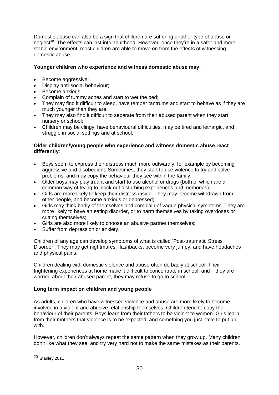Domestic abuse can also be a sign that children are suffering another type of abuse or neglect<sup>20</sup>. The effects can last into adulthood. However, once they're in a safer and more stable environment, most children are able to move on from the effects of witnessing domestic abuse.

#### **Younger children who experience and witness domestic abuse may**:

- Become aggressive;
- Display anti-social behaviour:
- Become anxious:
- Complain of tummy aches and start to wet the bed;
- They may find it difficult to sleep, have temper tantrums and start to behave as if they are much younger than they are;
- They may also find it difficult to separate from their abused parent when they start nursery or school;
- Children may be clingy, have behavioural difficulties, may be tired and lethargic, and struggle in social settings and at school.

#### **Older children/young people who experience and witness domestic abuse react differently**:

- Boys seem to express their distress much more outwardly, for example by becoming aggressive and disobedient. Sometimes, they start to use violence to try and solve problems, and may copy the behaviour they see within the family;
- Older boys may play truant and start to use alcohol or drugs (both of which are a common way of trying to block out disturbing experiences and memories);
- Girls are more likely to keep their distress inside. They may become withdrawn from other people, and become anxious or depressed;
- Girls may think badly of themselves and complain of vague physical symptoms. They are more likely to have an eating disorder, or to harm themselves by taking overdoses or cutting themselves;
- Girls are also more likely to choose an abusive partner themselves;
- Suffer from depression or anxiety.

Children of any age can develop symptoms of what is called 'Post-traumatic Stress Disorder'. They may get nightmares, flashbacks, become very jumpy, and have headaches and physical pains.

Children dealing with domestic violence and abuse often do badly at school. Their frightening experiences at home make it difficult to concentrate in school, and if they are worried about their abused parent, they may refuse to go to school.

#### **Long term impact on children and young people**

As adults, children who have witnessed violence and abuse are more likely to become involved in a violent and abusive relationship themselves. Children tend to copy the behaviour of their parents. Boys learn from their fathers to be violent to women. Girls learn from their mothers that violence is to be expected, and something you just have to put up with.

However, children don't always repeat the same pattern when they grow up. Many children don't like what they see, and try very hard not to make the same mistakes as their parents.

<u>.</u>

<sup>20</sup> Stanley 2011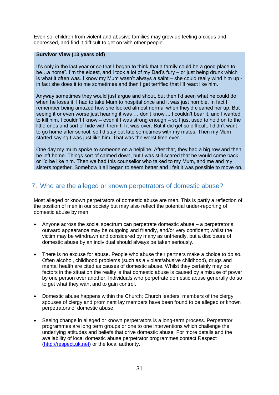Even so, children from violent and abusive families may grow up feeling anxious and depressed, and find it difficult to get on with other people.

#### **Survivor View (13 years old)**

It's only in the last year or so that I began to think that a family could be a good place to be…a home". I'm the eldest, and I took a lot of my Dad's fury – or just being drunk which is what it often was. I know my Mum wasn't always a saint – she could really wind him up in fact she does it to me sometimes and then I get terrified that I'll react like him.

Anyway sometimes they would just argue and shout, but then I'd seen what he could do when he loses it. I had to take Mum to hospital once and it was just horrible. In fact I remember being amazed how she looked almost normal when they'd cleaned her up. But seeing it or even worse just hearing it was … don't know ... I couldn't bear it, and I wanted to kill him. I couldn't I know – even if I was strong enough – so I just used to hold on to the little ones and sort of hide with them till it was over. But it did get so difficult. I didn't want to go home after school, so I'd stay out late sometimes with my mates. Then my Mum started saying I was just like him. That was the worst time ever.

One day my mum spoke to someone on a helpline. After that, they had a big row and then he left home. Things sort of calmed down, but I was still scared that he would come back or I'd be like him. Then we had this counsellor who talked to my Mum, and me and my sisters together. Somehow it all began to seem better and I felt it was possible to move on.

## 7. Who are the alleged or known perpetrators of domestic abuse?

Most alleged or known perpetrators of domestic abuse are men. This is partly a reflection of the position of men in our society but may also reflect the potential under-reporting of domestic abuse by men.

- Anyone across the social spectrum can perpetrate domestic abuse a perpetrator's outward appearance may be outgoing and friendly, and/or very confident; whilst the victim may be withdrawn and considered by many as unfriendly, but a disclosure of domestic abuse by an individual should always be taken seriously.
- There is no excuse for abuse. People who abuse their partners make a choice to do so. Often alcohol, childhood problems (such as a violent/abusive childhood), drugs and mental health are cited as causes of domestic abuse. Whilst they certainly may be factors in the situation the reality is that domestic abuse is caused by a misuse of power by one person over another. Individuals who perpetrate domestic abuse generally do so to get what they want and to gain control.
- Domestic abuse happens within the Church: Church leaders, members of the clergy, spouses of clergy and prominent lay members have been found to be alleged or known perpetrators of domestic abuse.
- Seeing change in alleged or known perpetrators is a long-term process. Perpetrator programmes are long term groups or one to one interventions which challenge the underlying attitudes and beliefs that drive domestic abuse. For more details and the availability of local domestic abuse perpetrator programmes contact Respect [\(http://respect.uk.net\)](http://respect.uk.net/) or the local authority.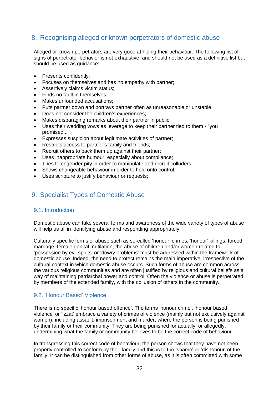## 8. Recognising alleged or known perpetrators of domestic abuse

Alleged or known perpetrators are very good at hiding their behaviour. The following list of signs of perpetrator behavior is not exhaustive, and should not be used as a definitive list but should be used as guidance:

- Presents confidently;
- Focuses on themselves and has no empathy with partner;
- Assertively claims victim status;
- Finds no fault in themselves:
- Makes unfounded accusations:
- Puts partner down and portrays partner often as unreasonable or unstable;
- Does not consider the children's experiences;
- Makes disparaging remarks about their partner in public;
- Uses their wedding vows as leverage to keep their partner tied to them "you promised...";
- Expresses suspicion about legitimate activities of partner;
- Restricts access to partner's family and friends;
- Recruit others to back them up against their partner;
- Uses inappropriate humour, especially about compliance;
- Tries to engender pity in order to manipulate and recruit colluders;
- Shows changeable behaviour in order to hold onto control;
- Uses scripture to justify behaviour or requests;

## 9. Specialist Types of Domestic Abuse

#### <span id="page-31-0"></span>9.1. Introduction

Domestic abuse can take several forms and awareness of the wide variety of types of abuse will help us all in identifying abuse and responding appropriately.

Culturally specific forms of abuse such as so-called 'honour' crimes, 'honour' killings, forced marriage, female genital mutilation, the abuse of children and/or women related to 'possession by evil spirits' or 'dowry problems' must be addressed within the framework of domestic abuse. Indeed, the need to protect remains the main imperative, irrespective of the cultural context in which domestic abuse occurs. Such forms of abuse are common across the various religious communities and are often justified by religious and cultural beliefs as a way of maintaining patriarchal power and control. Often the violence or abuse is perpetrated by members of the extended family, with the collusion of others in the community.

#### 9.2. 'Honour Based' Violence

There is no specific 'honour based offence'. The terms 'honour crime', 'honour based violence' or 'izzat' embrace a variety of crimes of violence (mainly but not exclusively against women), including assault, imprisonment and murder, where the person is being punished by their family or their community. They are being punished for actually, or allegedly, undermining what the family or community believes to be the correct code of behaviour.

In transgressing this correct code of behaviour, the person shows that they have not been properly controlled to conform by their family and this is to the 'shame' or 'dishonour' of the family. It can be distinguished from other forms of abuse, as it is often committed with some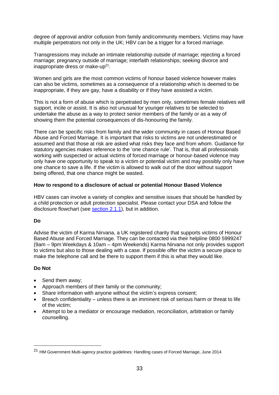degree of approval and/or collusion from family and/community members. Victims may have multiple perpetrators not only in the UK; HBV can be a trigger for a forced marriage.

Transgressions may include an intimate relationship outside of marriage; rejecting a forced marriage; pregnancy outside of marriage; interfaith relationships; seeking divorce and inappropriate dress or make-up $21$ .

Women and girls are the most common victims of honour based violence however males can also be victims, sometimes as a consequence of a relationship which is deemed to be inappropriate, if they are gay, have a disability or if they have assisted a victim.

This is not a form of abuse which is perpetrated by men only, sometimes female relatives will support, incite or assist. It is also not unusual for younger relatives to be selected to undertake the abuse as a way to protect senior members of the family or as a way of showing them the potential consequences of dis-honouring the family.

There can be specific risks from family and the wider community in cases of Honour Based Abuse and Forced Marriage. It is important that risks to victims are not underestimated or assumed and that those at risk are asked what risks they face and from whom. Guidance for statutory agencies makes reference to the 'one chance rule'. That is, that all professionals working with suspected or actual victims of forced marriage or honour-based violence may only have one opportunity to speak to a victim or potential victim and may possibly only have one chance to save a life. If the victim is allowed to walk out of the door without support being offered, that one chance might be wasted.

#### **How to respond to a disclosure of actual or potential Honour Based Violence**

HBV cases can involve a variety of complex and sensitive issues that should be handled by a child protection or adult protection specialist. Please contact your DSA and follow the disclosure flowchart (see [section 2.1.1\)](#page-12-0), but in addition.

#### **Do**

Advise the victim of Karma Nirvana, a UK registered charity that supports victims of Honour Based Abuse and Forced Marriage. They can be contacted via their helpline 0800 5999247 (9am – 9pm Weekdays & 10am – 4pm Weekends) Karma Nirvana not only provides support to victims but also to those dealing with a case. If possible offer the victim a secure place to make the telephone call and be there to support them if this is what they would like.

#### **Do Not**

1

- Send them away:
- Approach members of their family or the community;
- Share information with anyone without the victim's express consent;
- Breach confidentiality unless there is an imminent risk of serious harm or threat to life of the victim;
- Attempt to be a mediator or encourage mediation, reconciliation, arbitration or family counselling.

<sup>21</sup> HM Government Multi-agency practice guidelines: Handling cases of Forced Marriage, June 2014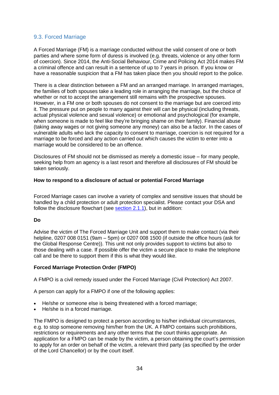#### 9.3. Forced Marriage

A Forced Marriage (FM) is a marriage conducted without the valid consent of one or both parties and where some form of duress is involved (e.g. threats, violence or any other form of coercion). Since 2014, the Anti-Social Behaviour, Crime and Policing Act 2014 makes FM a criminal offence and can result in a sentence of up to 7 years in prison. If you know or have a reasonable suspicion that a FM has taken place then you should report to the police.

There is a clear distinction between a FM and an arranged marriage. In arranged marriages, the families of both spouses take a leading role in arranging the marriage, but the choice of whether or not to accept the arrangement still remains with the prospective spouses. However, in a FM one or both spouses do not consent to the marriage but are coerced into it. The pressure put on people to marry against their will can be physical (including threats, actual physical violence and sexual violence) or emotional and psychological (for example, when someone is made to feel like they're bringing shame on their family). Financial abuse (taking away wages or not giving someone any money) can also be a factor. In the cases of vulnerable adults who lack the capacity to consent to marriage, coercion is not required for a marriage to be forced and any action carried out which causes the victim to enter into a marriage would be considered to be an offence.

Disclosures of FM should not be dismissed as merely a domestic issue – for many people, seeking help from an agency is a last resort and therefore all disclosures of FM should be taken seriously.

#### **How to respond to a disclosure of actual or potential Forced Marriage**

Forced Marriage cases can involve a variety of complex and sensitive issues that should be handled by a child protection or adult protection specialist. Please contact your DSA and follow the disclosure flowchart (see [section 2.1.1\)](#page-12-0), but in addition:

#### **Do**

Advise the victim of The Forced Marriage Unit and support them to make contact (via their helpline, 0207 008 0151 (9am – 5pm) or 0207 008 1500 (if outside the office hours (ask for the Global Response Centre)). This unit not only provides support to victims but also to those dealing with a case. If possible offer the victim a secure place to make the telephone call and be there to support them if this is what they would like.

#### **Forced Marriage Protection Order (FMPO)**

A FMPO is a civil remedy issued under the Forced Marriage (Civil Protection) Act 2007.

A person can apply for a FMPO if one of the following applies:

- He/she or someone else is being threatened with a forced marriage;
- He/she is in a forced marriage.

The FMPO is designed to protect a person according to his/her individual circumstances, e.g. to stop someone removing him/her from the UK. A FMPO contains such prohibitions, restrictions or requirements and any other terms that the court thinks appropriate. An application for a FMPO can be made by the victim, a person obtaining the court's permission to apply for an order on behalf of the victim, a relevant third party (as specified by the order of the Lord Chancellor) or by the court itself.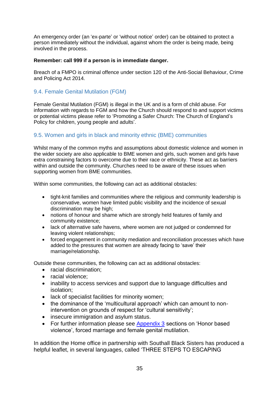An emergency order (an 'ex-parte' or 'without notice' order) can be obtained to protect a person immediately without the individual, against whom the order is being made, being involved in the process.

#### **Remember: call 999 if a person is in immediate danger.**

Breach of a FMPO is criminal offence under section 120 of the Anti-Social Behaviour, Crime and Policing Act 2014.

#### 9.4. Female Genital Mutilation (FGM)

Female Genital Mutilation (FGM) is illegal in the UK and is a form of child abuse. For information with regards to FGM and how the Church should respond to and support victims or potential victims please refer to 'Promoting a Safer Church: The Church of England's Policy for children, young people and adults'.

### 9.5. Women and girls in black and minority ethnic (BME) communities

Whilst many of the common myths and assumptions about domestic violence and women in the wider society are also applicable to BME women and girls, such women and girls have extra constraining factors to overcome due to their race or ethnicity. These act as barriers within and outside the community. Churches need to be aware of these issues when supporting women from BME communities.

Within some communities, the following can act as additional obstacles:

- tight-knit families and communities where the religious and community leadership is conservative, women have limited public visibility and the incidence of sexual discrimination may be high;
- notions of honour and shame which are strongly held features of family and community existence;
- lack of alternative safe havens, where women are not judged or condemned for leaving violent relationships;
- forced engagement in community mediation and reconciliation processes which have added to the pressures that women are already facing to 'save' their marriage/relationship.

Outside these communities, the following can act as additional obstacles:

- racial discrimination:
- racial violence:
- inability to access services and support due to language difficulties and isolation;
- lack of specialist facilities for minority women;
- the dominance of the 'multicultural approach' which can amount to nonintervention on grounds of respect for 'cultural sensitivity';
- insecure immigration and asylum status.
- For further information please see  $\Delta$ ppendix  $3$  sections on 'Honor based violence', forced marriage and female genital mutilation.

In addition the Home office in partnership with Southall Black Sisters has produced a helpful leaflet, in several languages, called 'THREE STEPS TO ESCAPING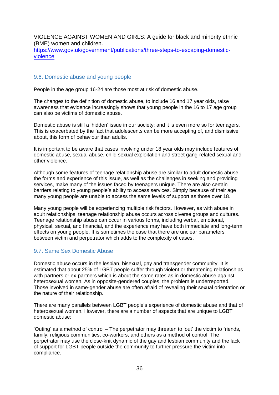VIOLENCE AGAINST WOMEN AND GIRLS: A guide for black and minority ethnic (BME) women and children.

[https://www.gov.uk/government/publications/three-steps-to-escaping-domestic](https://www.gov.uk/government/publications/three-steps-to-escaping-domestic-violence)[violence](https://www.gov.uk/government/publications/three-steps-to-escaping-domestic-violence)

#### 9.6. Domestic abuse and young people

People in the age group 16-24 are those most at risk of domestic abuse.

The changes to the definition of domestic abuse, to include 16 and 17 year olds, raise awareness that evidence increasingly shows that young people in the 16 to 17 age group can also be victims of domestic abuse.

Domestic abuse is still a 'hidden' issue in our society; and it is even more so for teenagers. This is exacerbated by the fact that adolescents can be more accepting of, and dismissive about, this form of behaviour than adults.

It is important to be aware that cases involving under 18 year olds may include features of domestic abuse, sexual abuse, child sexual exploitation and street gang-related sexual and other violence.

Although some features of teenage relationship abuse are similar to adult domestic abuse, the forms and experience of this issue, as well as the challenges in seeking and providing services, make many of the issues faced by teenagers unique. There are also certain barriers relating to young people's ability to access services. Simply because of their age many young people are unable to access the same levels of support as those over 18.

Many young people will be experiencing multiple risk factors. However, as with abuse in adult relationships, teenage relationship abuse occurs across diverse groups and cultures. Teenage relationship abuse can occur in various forms, including verbal, emotional, physical, sexual, and financial, and the experience may have both immediate and long-term effects on young people. It is sometimes the case that there are unclear parameters between victim and perpetrator which adds to the complexity of cases.

#### 9.7. Same Sex Domestic Abuse

Domestic abuse occurs in the lesbian, bisexual, gay and transgender community. It is estimated that about 25% of LGBT people suffer through violent or threatening relationships with partners or ex-partners which is about the same rates as in domestic abuse against heterosexual women. As in opposite-gendered couples, the problem is underreported. Those involved in same-gender abuse are often afraid of revealing their sexual orientation or the nature of their relationship.

There are many parallels between LGBT people's experience of domestic abuse and that of heterosexual women. However, there are a number of aspects that are unique to LGBT domestic abuse:

'Outing' as a method of control – The perpetrator may threaten to 'out' the victim to friends, family, religious communities, co-workers, and others as a method of control. The perpetrator may use the close-knit dynamic of the gay and lesbian community and the lack of support for LGBT people outside the community to further pressure the victim into compliance.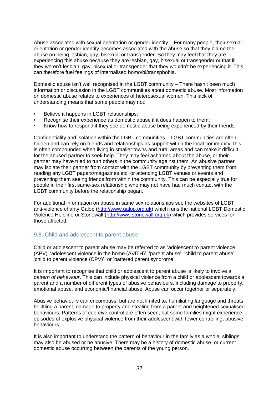Abuse associated with sexual orientation or gender identity – For many people, their sexual orientation or gender identity becomes associated with the abuse so that they blame the abuse on being lesbian, gay, bisexual or transgender. So they may feel that they are experiencing this abuse because they are lesbian, gay, bisexual or transgender or that if they weren't lesbian, gay, bisexual or transgender that they wouldn't be experiencing it. This can therefore fuel feelings of internalised homo/bi/transphobia.

Domestic abuse isn't well recognised in the LGBT community – There hasn't been much information or discussion in the LGBT communities about domestic abuse. Most information on domestic abuse relates to experiences of heterosexual women. This lack of understanding means that some people may not:

- Believe it happens in LGBT relationships;
- Recognise their experience as domestic abuse if it does happen to them;
- Know how to respond if they see domestic abuse being experienced by their friends.

Confidentiality and isolation within the LGBT communities – LGBT communities are often hidden and can rely on friends and relationships as support within the local community; this is often compounded when living in smaller towns and rural areas and can make it difficult for the abused partner to seek help. They may feel ashamed about the abuse, or their partner may have tried to turn others in the community against them. An abusive partner may isolate their partner from contact with the LGBT community by preventing them from reading any LGBT papers/magazines etc. or attending LGBT venues or events and preventing them seeing friends from within the community. This can be especially true for people in their first same-sex relationship who may not have had much contact with the LGBT community before the relationship began.

For additional information on abuse in same sex relationships see the websites of LGBT anti-violence charity Galop [\(http://www.galop.org.uk\)](http://www.galop.org.uk/) which runs the national LGBT Domestic Violence Helpline or Stonewall [\(http://www.stonewall.org.uk\)](http://www.stonewall.org.uk/) which provides services for those affected.

#### 9.8. Child and adolescent to parent abuse

Child or adolescent to parent abuse may be referred to as 'adolescent to parent violence (APV)' 'adolescent violence in the home (AVITH)', 'parent abuse', 'child to parent abuse', 'child to parent violence (CPV)', or 'battered parent syndrome'.

It is important to recognise that child or adolescent to parent abuse is likely to involve a *pattern of behaviour*. This can include physical violence from a child or adolescent towards a parent and a number of different types of abusive behaviours, including damage to property, emotional abuse, and economic/financial abuse. Abuse can occur together or separately.

Abusive behaviours can encompass, but are not limited to, humiliating language and threats, belittling a parent, damage to property and stealing from a parent and heightened sexualised behaviours. Patterns of coercive control are often seen, but some families might experience episodes of explosive physical violence from their adolescent with fewer controlling, abusive behaviours.

It is also important to understand the pattern of behaviour in the family as a whole; siblings may also be abused or be abusive. There may be a history of domestic abuse, or current domestic abuse occurring between the parents of the young person.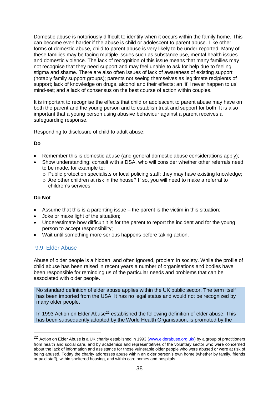Domestic abuse is notoriously difficult to identify when it occurs within the family home. This can become even harder if the abuse is child or adolescent to parent abuse. Like other forms of domestic abuse, child to parent abuse is very likely to be under-reported. Many of these families may be facing multiple issues such as substance use, mental health issues and domestic violence. The lack of recognition of this issue means that many families may not recognise that they need support and may feel unable to ask for help due to feeling stigma and shame. There are also often issues of lack of awareness of existing support (notably family support groups); parents not seeing themselves as legitimate recipients of support; lack of knowledge on drugs, alcohol and their effects; an 'it'll never happen to us' mind-set; and a lack of consensus on the best course of action within couples.

It is important to recognise the effects that child or adolescent to parent abuse may have on both the parent and the young person and to establish trust and support for both. It is also important that a young person using abusive behaviour against a parent receives a safeguarding response.

Responding to disclosure of child to adult abuse:

#### **Do**

- Remember this is domestic abuse (and general domestic abuse considerations apply);
- Show understanding; consult with a DSA, who will consider whether other referrals need to be made, for example to:
	- $\circ$  Public protection specialists or local policing staff: they may have existing knowledge;
	- o Are other children at risk in the house? If so, you will need to make a referral to children's services;

#### **Do Not**

1

- Assume that this is a parenting issue the parent is the victim in this situation;
- Joke or make light of the situation;
- Underestimate how difficult it is for the parent to report the incident and for the young person to accept responsibility;
- Wait until something more serious happens before taking action.

#### 9.9. Elder Abuse

Abuse of older people is a hidden, and often ignored, problem in society. While the profile of child abuse has been raised in recent years a number of organisations and bodies have been responsible for reminding us of the particular needs and problems that can be associated with older people.

No standard definition of elder abuse applies within the UK public sector. The term itself has been imported from the USA. It has no legal status and would not be recognized by many older people.

In 1993 Action on Elder Abuse<sup>22</sup> established the following definition of elder abuse. This has been subsequently adopted by the World Health Organisation, is promoted by the

<sup>&</sup>lt;sup>22</sup> Action on Elder Abuse is a UK charity established in 1993 [\(www.elderabuse.org.uk/\)](http://www.elderabuse.org.uk/) by a group of practitioners from health and social care, and by academics and representatives of the voluntary sector who were concerned about the lack of information and assistance for those vulnerable older people who were abused or were at risk of being abused. Today the charity addresses abuse within an older person's own home (whether by family, friends or paid staff), within sheltered housing, and within care homes and hospitals.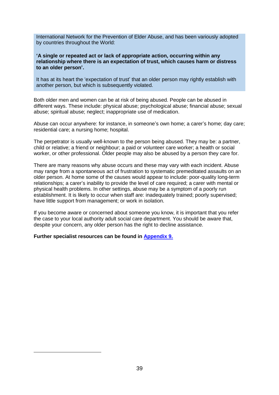International Network for the Prevention of Elder Abuse, and has been variously adopted by countries throughout the World:

**'A single or repeated act or lack of appropriate action, occurring within any relationship where there is an expectation of trust, which causes harm or distress to an older person'.**

It has at its heart the 'expectation of trust' that an older person may rightly establish with another person, but which is subsequently violated.

Both older men and women can be at risk of being abused. People can be abused in different ways. These include: physical abuse; psychological abuse; financial abuse; sexual abuse; spiritual abuse; neglect; inappropriate use of medication.

Abuse can occur anywhere: for instance, in someone's own home; a carer's home; day care; residential care; a nursing home; hospital.

The perpetrator is usually well-known to the person being abused. They may be: a partner, child or relative; a friend or neighbour; a paid or volunteer care worker; a health or social worker, or other professional. Older people may also be abused by a person they care for.

There are many reasons why abuse occurs and these may vary with each incident. Abuse may range from a spontaneous act of frustration to systematic premeditated assaults on an older person. At home some of the causes would appear to include: poor-quality long-term relationships; a carer's inability to provide the level of care required; a carer with mental or physical health problems. In other settings, abuse may be a symptom of a poorly run establishment. It is likely to occur when staff are: inadequately trained; poorly supervised; have little support from management; or work in isolation.

If you become aware or concerned about someone you know, it is important that you refer the case to your local authority adult social care department. You should be aware that, despite your concern, any older person has the right to decline assistance.

**Further specialist resources can be found in [Appendix 9.](#page-51-0)**

<u>.</u>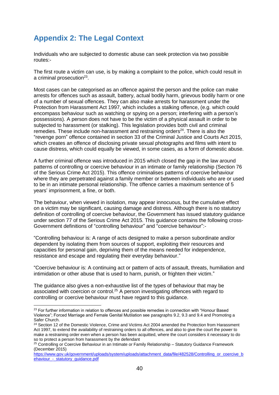## <span id="page-39-0"></span>**Appendix 2: The Legal Context**

Individuals who are subjected to domestic abuse can seek protection via two possible routes:-

The first route a victim can use, is by making a complaint to the police, which could result in a criminal prosecution<sup>23</sup>.

Most cases can be categorised as an offence against the person and the police can make arrests for offences such as assault, battery, actual bodily harm, grievous bodily harm or one of a number of sexual offences. They can also make arrests for harassment under the Protection from Harassment Act 1997, which includes a stalking offence, (e.g. which could encompass behaviour such as watching or spying on a person; interfering with a person's possessions). A person does not have to be the victim of a physical assault in order to be subjected to harassment (or stalking). This legislation provides both civil and criminal remedies. These include non-harassment and restraining orders $24$ . There is also the "revenge porn" offence contained in section 33 of the Criminal Justice and Courts Act 2015, which creates an offence of disclosing private sexual photographs and films with intent to cause distress, which could equally be viewed, in some cases, as a form of domestic abuse.

A further criminal offence was introduced in 2015 which closed the gap in the law around patterns of controlling or coercive behaviour in an intimate or family relationship (Section 76 of the Serious Crime Act 2015). This offence criminalises patterns of coercive behaviour where they are perpetrated against a family member or between individuals who are or used to be in an intimate personal relationship. The offence carries a maximum sentence of 5 years' imprisonment, a fine, or both.

The behaviour, when viewed in isolation, may appear innocuous, but the cumulative effect on a victim may be significant, causing damage and distress. Although there is no statutory definition of controlling of coercive behaviour, the Government has issued statutory guidance under section 77 of the Serious Crime Act 2015. This guidance contains the following cross-Government definitions of "controlling behaviour" and "coercive behaviour":-

"Controlling behaviour is: A range of acts designed to make a person subordinate and/or dependent by isolating them from sources of support, exploiting their resources and capacities for personal gain, depriving them of the means needed for independence, resistance and escape and regulating their everyday behaviour."

"Coercive behaviour is: A continuing act or pattern of acts of assault, threats, humiliation and intimidation or other abuse that is used to harm, punish, or frighten their victim."

The guidance also gives a non-exhaustive list of the types of behaviour that may be associated with coercion or control.<sup>25</sup> A person investigating offences with regard to controlling or coercive behaviour must have regard to this guidance.

1

<sup>&</sup>lt;sup>23</sup> For further information in relation to offences and possible remedies in connection with "Honour Based Violence"; Forced Marriage and Female Genital Mutilation see paragraphs 9.2, 9.3 and 9.4 and Promoting a Safer Church.

<sup>&</sup>lt;sup>24</sup> Section 12 of the Domestic Violence, Crime and Victims Act 2004 amended the Protection from Harassment Act 1997, to extend the availability of restraining orders to all offences, and also to give the court the power to make a restraining order even when a person has been acquitted, where the court considers it necessary to do so to protect a person from harassment by the defendant

<sup>&</sup>lt;sup>25</sup> Controlling or Coercive Behaviour in an Intimate or Family Relationship - Statutory Guidance Framework (December 2015)

[https://www.gov.uk/government/uploads/system/uploads/attachment\\_data/file/482528/Controlling\\_or\\_coercive\\_b](https://www.gov.uk/government/uploads/system/uploads/attachment_data/file/482528/Controlling_or_coercive_behaviour_-_statutory_guidance.pdf) ehaviour - statutory quidance.pdf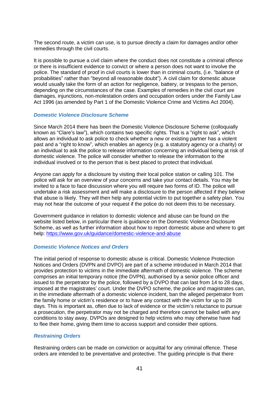The second route, a victim can use, is to pursue directly a claim for damages and/or other remedies through the civil courts.

It is possible to pursue a civil claim where the conduct does not constitute a criminal offence or there is insufficient evidence to convict or where a person does not want to involve the police. The standard of proof in civil courts is lower than in criminal courts, (i.e. "balance of probabilities" rather than "beyond all reasonable doubt"). A civil claim for domestic abuse would usually take the form of an action for negligence, battery, or trespass to the person, depending on the circumstances of the case. Examples of remedies in the civil court are damages, injunctions, non-molestation orders and occupation orders under the Family Law Act 1996 (as amended by Part 1 of the Domestic Violence Crime and Victims Act 2004).

#### *Domestic Violence Disclosure Scheme*

Since March 2014 there has been the Domestic Violence Disclosure Scheme (colloquially known as "Clare's law"), which contains two specific rights. That is a "right to ask", which allows an individual to ask police to check whether a new or existing partner has a violent past and a "right to know", which enables an agency (e.g. a statutory agency or a charity) or an individual to ask the police to release information concerning an individual being at risk of domestic violence. The police will consider whether to release the information to the individual involved or to the person that is best placed to protect that individual.

Anyone can apply for a disclosure by visiting their local police station or calling 101. The police will ask for an overview of your concerns and take your contact details. You may be invited to a face to face discussion where you will require two forms of ID. The police will undertake a risk assessment and will make a disclosure to the person affected if they believe that abuse is likely. They will then help any potential victim to put together a safety plan. You may not hear the outcome of your request if the police do not deem this to be necessary.

Government guidance in relation to domestic violence and abuse can be found on the website listed below, in particular there is guidance on the Domestic Violence Disclosure Scheme, as well as further information about how to report domestic abuse and where to get help:<https://www.gov.uk/guidance/domestic-violence-and-abuse>

#### *Domestic Violence Notices and Orders*

The initial period of response to domestic abuse is critical. Domestic Violence Protection Notices and Orders (DVPN and DVPO) are part of a scheme introduced in March 2014 that provides protection to victims in the immediate aftermath of domestic violence. The scheme comprises an initial temporary notice (the DVPN), authorised by a senior police officer and issued to the perpetrator by the police, followed by a DVPO that can last from 14 to 28 days, imposed at the magistrates' court. Under the DVPO scheme, the police and magistrates can, in the immediate aftermath of a domestic violence incident, ban the alleged perpetrator from the family home or victim's residence or to have any contact with the victim for up to 28 days. This is important as, often due to lack of evidence or the victim's reluctance to pursue a prosecution, the perpetrator may not be charged and therefore cannot be bailed with any conditions to stay away. DVPOs are designed to help victims who may otherwise have had to flee their home, giving them time to access support and consider their options.

#### *Restraining Orders*

Restraining orders can be made on conviction or acquittal for any criminal offence. These orders are intended to be preventative and protective. The guiding principle is that there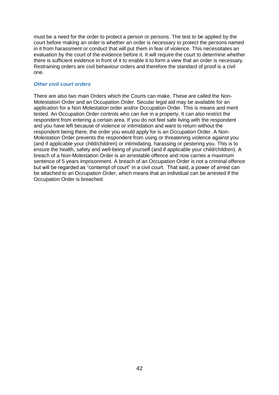must be a need for the order to protect a person or persons. The test to be applied by the court before making an order is whether an order is necessary to protect the persons named in it from harassment or conduct that will put them in fear of violence. This necessitates an evaluation by the court of the evidence before it. It will require the court to determine whether there is sufficient evidence in front of it to enable it to form a view that an order is necessary. Restraining orders are civil behaviour orders and therefore the standard of proof is a civil one.

#### *Other civil court orders*

There are also two main Orders which the Courts can make. These are called the Non-Molestation Order and an Occupation Order. Secular [legal aid](https://www.gov.uk/legal-aid/domestic-abuse-or-violence) may be available for an application for a Non Molestation order and/or Occupation Order. This is means and merit tested. An Occupation Order controls who can live in a property. It can also restrict the respondent from entering a certain area. If you do not feel safe living with the respondent and you have left because of violence or intimidation and want to return without the respondent being there, the order you would apply for is an Occupation Order. A Non-Molestation Order prevents the respondent from using or threatening violence against you (and if applicable your child/children) or intimidating, harassing or pestering you. This is to ensure the health, safety and well-being of yourself (and if applicable your child/children). A breach of a Non-Molestation Order is an arrestable offence and now carries a maximum sentence of 5 years imprisonment. A breach of an Occupation Order is not a criminal offence but will be regarded as "contempt of court" in a civil court. That said, a power of arrest can be attached to an Occupation Order, which means that an individual can be arrested if the Occupation Order is breached.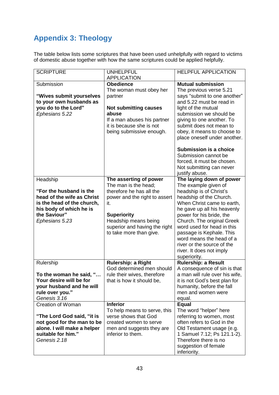## <span id="page-42-0"></span>**Appendix 3: Theology**

The table below lists some scriptures that have been used unhelpfully with regard to victims of domestic abuse together with how the same scriptures could be applied helpfully.

| <b>SCRIPTURE</b>                                      | <b>UNHELPFUL</b><br><b>APPLICATION</b>                   | <b>HELPFUL APPLICATION</b>                                  |
|-------------------------------------------------------|----------------------------------------------------------|-------------------------------------------------------------|
| Submission                                            | <b>Obedience</b>                                         | <b>Mutual submission</b>                                    |
|                                                       | The woman must obey her                                  | The previous verse 5.21                                     |
| "Wives submit yourselves                              | partner                                                  | says "submit to one another"                                |
| to your own husbands as<br>you do to the Lord"        | <b>Not submitting causes</b>                             | and 5.22 must be read in<br>light of the mutual             |
| Ephesians 5.22                                        | abuse                                                    | submission we should be                                     |
|                                                       | If a man abuses his partner                              | giving to one another. To                                   |
|                                                       | it is because she is not                                 | submit does not mean to                                     |
|                                                       | being submissive enough.                                 | obey, it means to choose to<br>place oneself under another. |
|                                                       |                                                          |                                                             |
|                                                       |                                                          | <b>Submission is a choice</b>                               |
|                                                       |                                                          | Submission cannot be                                        |
|                                                       |                                                          | forced, it must be chosen.<br>Not submitting can never      |
|                                                       |                                                          | justify abuse.                                              |
| Headship                                              | The asserting of power                                   | The laying down of power                                    |
|                                                       | The man is the head;                                     | The example given of                                        |
| "For the husband is the<br>head of the wife as Christ | therefore he has all the                                 | headship is of Christ's<br>headship of the Church.          |
| is the head of the church,                            | power and the right to assert<br>it.                     | When Christ came to earth,                                  |
| his body of which he is                               |                                                          | he gave up all his heavenly                                 |
| the Saviour"                                          | <b>Superiority</b>                                       | power for his bride, the                                    |
| Ephesians 5.23                                        | Headship means being                                     | Church. The original Greek                                  |
|                                                       | superior and having the right<br>to take more than give. | word used for head in this<br>passage is Kephale. This      |
|                                                       |                                                          | word means the head of a                                    |
|                                                       |                                                          | river or the source of the                                  |
|                                                       |                                                          | river. It does not imply                                    |
|                                                       |                                                          | superiority.                                                |
| Rulership                                             | Rulership: a Right<br>God determined men should          | <b>Rulership: a Result</b><br>A consequence of sin is that  |
| To the woman he said, "                               | rule their wives, therefore                              | a man will rule over his wife,                              |
| Your desire will be for                               | that is how it should be,                                | it is not God's best plan for                               |
| your husband and he will                              |                                                          | humanity, before the fall                                   |
| rule over you."<br>Genesis 3.16                       |                                                          | men and women were<br>equal.                                |
| <b>Creation of Woman</b>                              | <b>Inferior</b>                                          | <b>Equal</b>                                                |
|                                                       | To help means to serve, this                             | The word "helper" here                                      |
| "The Lord God said, "it is                            | verse shows that God                                     | referring to women, most                                    |
| not good for the man to be                            | created women to serve                                   | often refers to God in the                                  |
| alone. I will make a helper<br>suitable for him."     | men and suggests they are<br>inferior to them.           | Old Testament usage (e.g.<br>1 Samuel 7.12; Ps 121.1-2).    |
| Genesis 2.18                                          |                                                          | Therefore there is no                                       |
|                                                       |                                                          | suggestion of female                                        |
|                                                       |                                                          | inferiority.                                                |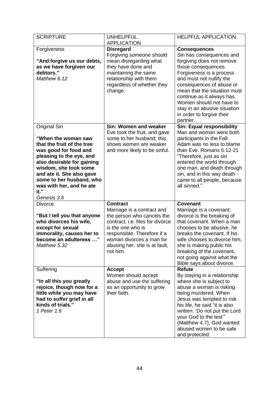| <b>SCRIPTURE</b>                                                                                                                                                                                                                                                                                 | <b>UNHELPFUL</b><br><b>APPLICATION</b>                                                                                                                                                                                                       | <b>HELPFUL APPLICATION</b>                                                                                                                                                                                                                                                                                                                                 |
|--------------------------------------------------------------------------------------------------------------------------------------------------------------------------------------------------------------------------------------------------------------------------------------------------|----------------------------------------------------------------------------------------------------------------------------------------------------------------------------------------------------------------------------------------------|------------------------------------------------------------------------------------------------------------------------------------------------------------------------------------------------------------------------------------------------------------------------------------------------------------------------------------------------------------|
| Forgiveness<br>"And forgive us our debts,<br>as we have forgiven our<br>debtors."<br>Matthew 6.12                                                                                                                                                                                                | <b>Disregard</b><br>Forgiving someone should<br>mean disregarding what<br>they have done and<br>maintaining the same<br>relationship with them<br>regardless of whether they<br>change.                                                      | <b>Consequences</b><br>Sin has consequences and<br>forgiving does not remove<br>those consequences.<br>Forgiveness is a process<br>and must not nullify the<br>consequences of abuse or<br>mean that the situation must<br>continue as it always has.<br>Women should not have to<br>stay in an abusive situation<br>in order to forgive their<br>partner. |
| <b>Original Sin</b><br>"When the woman saw<br>that the fruit of the tree<br>was good for food and<br>pleasing to the eye, and<br>also desirable for gaining<br>wisdom, she took some<br>and ate it. She also gave<br>some to her husband, who<br>was with her, and he ate<br>it."<br>Genesis 3.6 | Sin: Women and weaker<br>Eve took the fruit, and gave<br>some to her husband; this<br>shows women are weaker<br>and more likely to be sinful.                                                                                                | <b>Sin: Equal responsibility</b><br>Man and woman were both<br>participants in the Fall:<br>Adam was no less to blame<br>than Eve. Romans 5.12-21<br>"Therefore, just as sin<br>entered the world through<br>one man, and death through<br>sin, and in this way death<br>came to all people, because<br>all sinned."                                       |
| Divorce<br>"But I tell you that anyone<br>who divorces his wife,<br>except for sexual<br>immorality, causes her to<br>become an adulteress "<br>Matthew 5.32                                                                                                                                     | <b>Contract</b><br>Marriage is a contract and<br>the person who cancels the<br>contract, i.e. files for divorce<br>is the one who is<br>responsible. Therefore if a<br>woman divorces a man for<br>abusing her, she is at fault,<br>not him. | <b>Covenant</b><br>Marriage is a covenant;<br>divorce is the breaking of<br>that covenant. When a man<br>chooses to be abusive, he<br>breaks the covenant. If his<br>wife chooses to divorce him,<br>she is making public his<br>breaking of the covenant,<br>not going against what the<br>Bible says about divorce.                                      |
| Suffering<br>"In all this you greatly<br>rejoice, though now for a<br>little while you may have<br>had to suffer grief in all<br>kinds of trials."<br>1 Peter 1.6                                                                                                                                | <b>Accept</b><br>Women should accept<br>abuse and use the suffering<br>as an opportunity to grow<br>their faith.                                                                                                                             | <b>Refute</b><br>By staying in a relationship<br>where she is subject to<br>abuse a woman is risking<br>being murdered. When<br>Jesus was tempted to risk<br>his life, he said "it is also<br>written: 'Do not put the Lord<br>your God to the test"<br>(Matthew 4.7). God wanted<br>abused women to be safe<br>and protected.                             |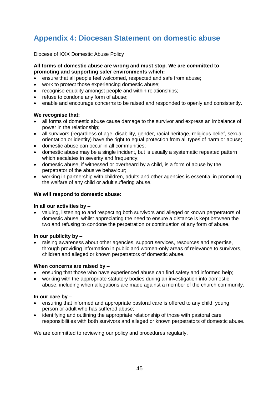## <span id="page-44-0"></span>**Appendix 4: Diocesan Statement on domestic abuse**

Diocese of XXX Domestic Abuse Policy

#### **All forms of domestic abuse are wrong and must stop. We are committed to promoting and supporting safer environments which:**

- ensure that all people feel welcomed, respected and safe from abuse;
- work to protect those experiencing domestic abuse;
- recognise equality amongst people and within relationships:
- refuse to condone any form of abuse;
- enable and encourage concerns to be raised and responded to openly and consistently.

#### **We recognise that:**

- all forms of domestic abuse cause damage to the survivor and express an imbalance of power in the relationship;
- all survivors (regardless of age, disability, gender, racial heritage, religious belief, sexual orientation or identity) have the right to equal protection from all types of harm or abuse;
- domestic abuse can occur in all communities;
- domestic abuse may be a single incident, but is usually a systematic repeated pattern which escalates in severity and frequency;
- domestic abuse, if witnessed or overheard by a child, is a form of abuse by the perpetrator of the abusive behaviour;
- working in partnership with children, adults and other agencies is essential in promoting the welfare of any child or adult suffering abuse.

#### **We will respond to domestic abuse:**

#### **In all our activities by –**

 valuing, listening to and respecting both survivors and alleged or known perpetrators of domestic abuse, whilst appreciating the need to ensure a distance is kept between the two and refusing to condone the perpetration or continuation of any form of abuse.

#### **In our publicity by –**

 raising awareness about other agencies, support services, resources and expertise, through providing information in public and women-only areas of relevance to survivors, children and alleged or known perpetrators of domestic abuse.

#### **When concerns are raised by –**

- ensuring that those who have experienced abuse can find safety and informed help;
- working with the appropriate statutory bodies during an investigation into domestic abuse, including when allegations are made against a member of the church community.

#### **In our care by –**

- ensuring that informed and appropriate pastoral care is offered to any child, young person or adult who has suffered abuse;
- identifying and outlining the appropriate relationship of those with pastoral care responsibilities with both survivors and alleged or known perpetrators of domestic abuse.

<span id="page-44-1"></span>We are committed to reviewing our policy and procedures regularly.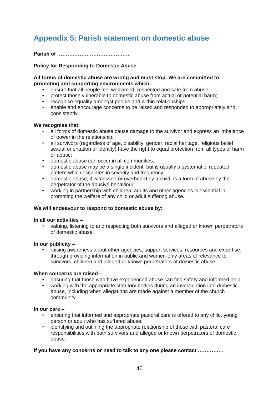## <span id="page-45-0"></span>**Appendix 5: Parish statement on domestic abuse**

**Parish of ……………………………………** 

#### **Policy for Responding to Domestic Abuse**

#### **All forms of domestic abuse are wrong and must stop. We are committed to promoting and supporting environments which:**

- ensure that all people feel welcomed, respected and safe from abuse;
- protect those vulnerable to domestic abuse from actual or potential harm;
- recognise equality amongst people and within relationships;
- enable and encourage concerns to be raised and responded to appropriately and consistently.

#### **We recognise that:**

- all forms of domestic abuse cause damage to the survivor and express an imbalance of power in the relationship;
- all survivors (regardless of age, disability, gender, racial heritage, religious belief, sexual orientation or identity) have the right to equal protection from all types of harm or abuse;
- domestic abuse can occur in all communities;
- domestic abuse may be a single incident, but is usually a systematic, repeated pattern which escalates in severity and frequency;
- domestic abuse, if witnessed or overheard by a child, is a form of abuse by the perpetrator of the abusive behaviour;
- working in partnership with children, adults and other agencies is essential in promoting the welfare of any child or adult suffering abuse.

#### **We will endeavour to respond to domestic abuse by:**

#### **In all our activities –**

• valuing, listening to and respecting both survivors and alleged or known perpetrators of domestic abuse.

#### **In our publicity –**

• raising awareness about other agencies, support services, resources and expertise, through providing information in public and women-only areas of relevance to survivors, children and alleged or known perpetrators of domestic abuse.

#### **When concerns are raised –**

- ensuring that those who have experienced abuse can find safety and informed help;
- working with the appropriate statutory bodies during an investigation into domestic abuse, including when allegations are made against a member of the church community.

#### **In our care –**

- ensuring that informed and appropriate pastoral care is offered to any child, young person or adult who has suffered abuse;
- identifying and outlining the appropriate relationship of those with pastoral care responsibilities with both survivors and alleged or known perpetrators of domestic abuse.

#### **If you have any concerns or need to talk to any one please contact ……………**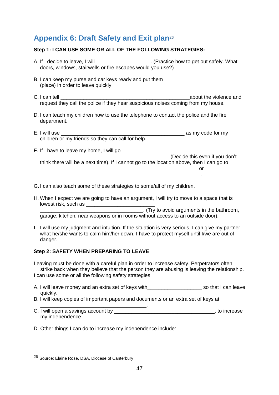## <span id="page-46-0"></span>**Appendix 6: Draft Safety and Exit plan**<sup>26</sup>

#### **Step 1: I CAN USE SOME OR ALL OF THE FOLLOWING STRATEGIES:**

- A. If I decide to leave, I will **A.** If I decide to leave, I will all the set of the safely. What doors, windows, stairwells or fire escapes would you use?)
- B. I can keep my purse and car keys ready and put them \_\_\_\_\_\_\_\_\_\_\_\_\_\_\_\_\_\_\_\_\_\_\_\_\_\_ (place) in order to leave quickly.
- C. I can tell **C.** I can tell request they call the police if they hear suspicious noises coming from my house.
- D. I can teach my children how to use the telephone to contact the police and the fire department.
- E. I will use \_\_\_\_\_\_\_\_\_\_\_\_\_\_\_\_\_\_\_\_\_\_\_\_\_\_\_\_\_\_\_\_\_\_\_\_\_\_\_\_\_\_\_ as my code for my children or my friends so they can call for help.
- F. If I have to leave my home, I will go

\_\_\_\_\_\_\_\_\_\_\_\_\_\_\_\_\_\_\_\_\_\_\_\_\_\_\_\_\_\_\_\_\_\_\_\_\_\_\_\_\_\_\_\_\_ (Decide this even if you don't think there will be a next time). If I cannot go to the location above, then I can go to \_\_\_\_\_\_\_\_\_\_\_\_\_\_\_\_\_\_\_\_\_\_\_\_\_\_\_\_\_\_\_\_\_\_\_\_\_\_\_\_\_\_\_\_\_\_\_\_\_\_\_\_\_\_\_ or \_\_\_\_\_\_\_\_\_\_\_\_\_\_\_\_\_\_\_\_\_\_\_\_\_\_\_\_\_\_\_\_\_\_\_\_\_\_\_\_\_\_\_\_\_\_\_\_\_\_\_\_\_\_\_\_.

- G. I can also teach some of these strategies to some/all of my children.
- H. When I expect we are going to have an argument, I will try to move to a space that is lowest risk, such as

\_\_\_\_\_\_\_\_\_\_\_\_\_\_\_\_\_\_\_\_\_\_\_\_\_\_\_\_\_\_\_\_\_\_\_\_. (Try to avoid arguments in the bathroom, garage, kitchen, near weapons or in rooms without access to an outside door).

I. I will use my judgment and intuition. If the situation is very serious, I can give my partner what he/she wants to calm him/her down. I have to protect myself until I/we are out of danger.

#### **Step 2: SAFETY WHEN PREPARING TO LEAVE**

Leaving must be done with a careful plan in order to increase safety. Perpetrators often strike back when they believe that the person they are abusing is leaving the relationship. I can use some or all the following safety strategies:

- A. I will leave money and an extra set of keys with example are so that I can leave quickly.
- B. I will keep copies of important papers and documents or an extra set of keys at
- \_\_\_\_\_\_\_\_\_\_\_\_\_\_\_\_\_\_\_\_\_\_\_\_\_\_\_\_\_\_\_\_\_\_\_\_\_. C. I will open a savings account by example the same state of the state of the state of the state of the state of the state of the state of the state of the state of the state of the state of the state of the state of the my independence.
- D. Other things I can do to increase my independence include:

<u>.</u>

<sup>26</sup> Source: Elaine Rose, DSA, Diocese of Canterbury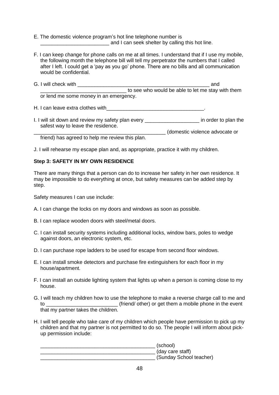E. The domestic violence program's hot line telephone number is and I can seek shelter by calling this hot line.

F. I can keep change for phone calls on me at all times. I understand that if I use my mobile, the following month the telephone bill will tell my perpetrator the numbers that I called after I left. I could get a 'pay as you go' phone. There are no bills and all communication would be confidential.

| G. I will check with                   | and                                               |  |
|----------------------------------------|---------------------------------------------------|--|
|                                        | to see who would be able to let me stay with them |  |
| or lend me some money in an emergency. |                                                   |  |

H. I can leave extra clothes with

I. I will sit down and review my safety plan every \_\_\_\_\_\_\_\_\_\_\_\_\_\_\_\_\_\_\_\_\_\_\_ in order to plan the WIII SIT QUWIT and TUREST UP.<br>Safest way to leave the residence. \_\_\_\_\_\_\_\_\_\_\_\_\_\_\_\_\_\_\_\_\_\_\_\_\_\_\_\_\_\_\_\_\_\_\_\_\_\_\_\_\_\_\_\_\_\_ (domestic violence advocate or

friend) has agreed to help me review this plan.

J. I will rehearse my escape plan and, as appropriate, practice it with my children.

#### **Step 3: SAFETY IN MY OWN RESIDENCE**

There are many things that a person can do to increase her safety in her own residence. It may be impossible to do everything at once, but safety measures can be added step by step.

Safety measures I can use include:

- A. I can change the locks on my doors and windows as soon as possible.
- B. I can replace wooden doors with steel/metal doors.
- C. I can install security systems including additional locks, window bars, poles to wedge against doors, an electronic system, etc.
- D. I can purchase rope ladders to be used for escape from second floor windows.
- E. I can install smoke detectors and purchase fire extinguishers for each floor in my house/apartment.
- F. I can install an outside lighting system that lights up when a person is coming close to my house.
- G. I will teach my children how to use the telephone to make a reverse charge call to me and to \_\_\_\_\_\_\_\_\_\_\_\_\_\_\_\_\_\_\_\_\_\_\_\_\_ (friend/ other) or get them a mobile phone in the event that my partner takes the children.
- H. I will tell people who take care of my children which people have permission to pick up my children and that my partner is not permitted to do so. The people I will inform about pickup permission include:

\_\_\_\_\_\_\_\_\_\_\_\_\_\_\_\_\_\_\_\_\_\_\_\_\_\_\_\_\_\_\_\_\_\_\_\_\_\_\_\_ (school) \_\_\_\_\_\_\_\_\_\_\_\_\_\_\_\_\_\_\_\_\_\_\_\_\_\_\_\_\_\_\_\_\_\_\_\_\_\_\_\_ (day care staff) \_\_\_\_\_\_\_\_\_\_\_\_\_\_\_\_\_\_\_\_\_\_\_\_\_\_\_\_\_\_\_\_\_\_\_\_\_\_\_\_ (Sunday School teacher)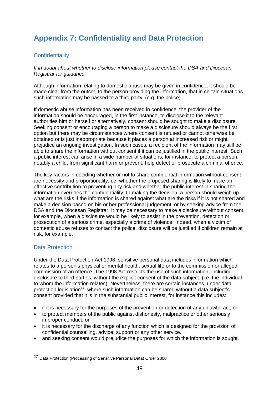## <span id="page-48-0"></span>**Appendix 7: Confidentiality and Data Protection**

### **Confidentiality**

*If in doubt about whether to disclose information please contact the DSA and Diocesan Registrar for guidance.* 

Although information relating to domestic abuse may be given in confidence, it should be made clear from the outset, to the person providing the information, that in certain situations such information may be passed to a third party, (e.g. the police).

If domestic abuse information has been received in confidence, the provider of the information should be encouraged, in the first instance, to disclose it to the relevant authorities him or herself or alternatively, consent should be sought to make a disclosure. Seeking consent or encouraging a person to make a disclosure should always be the first option but there may be circumstances where consent is refused or cannot otherwise be obtained or is just inappropriate because it places a person at increased risk or might prejudice an ongoing investigation. In such cases, a recipient of the information may still be able to share the information without consent if it can be justified in the public interest. Such a public interest can arise in a wide number of situations, for instance, to protect a person, notably a child, from significant harm or prevent, help detect or prosecute a criminal offence.

The key factors in deciding whether or not to share confidential information without consent are necessity and proportionality, i.e. whether the proposed sharing is likely to make an effective contribution to preventing any risk and whether the public interest in sharing the information overrides the confidentiality. In making the decision, a person should weigh up what are the risks if the information is shared against what are the risks if it is not shared and make a decision based on his or her professional judgement, or by seeking advice from the DSA and the Diocesan Registrar. It may be necessary to make a disclosure without consent, for example, when a disclosure would be likely to assist in the prevention, detection or prosecution of a serious crime, especially a crime of violence. Indeed, when a victim of domestic abuse refuses to contact the police, disclosure will be justified if children remain at risk, for example.

#### Data Protection

<u>.</u>

Under the Data Protection Act 1998, sensitive personal data includes information which relates to a person's physical or mental health, sexual life or to the commission or alleged commission of an offence. The 1998 Act restricts the use of such information, including disclosure to third parties, without the explicit consent of the data subject, (i.e. the individual to whom the information relates). Nevertheless, there are certain instances, under data protection legislation $27$ , where such information can be shared without a data subject's consent provided that it is in the substantial public interest, for instance this includes:

- if it is necessary for the purposes of the prevention or detection of any unlawful act; or
- to protect members of the public against dishonesty, malpractice or other seriously improper conduct; or
- it is necessary for the discharge of any function which is designed for the provision of confidential counselling, advice, support or any other service.
- and seeking consent would prejudice the purposes for which the information is sought.

<sup>27</sup> Data Protection (Processing of Sensitive Personal Data) Order 2000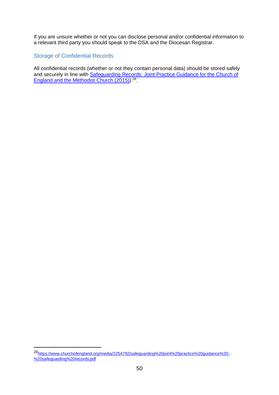If you are unsure whether or not you can disclose personal and/or confidential information to a relevant third party you should speak to the DSA and the Diocesan Registrar.

#### Storage of Confidential Records

1

All confidential records (whether or not they contain personal data) should be stored safely and securely in line with Safeguarding Records: Joint Practice Guidance for the Church of [England and the Methodist Church \(2015\)\)](https://www.churchofengland.org/media/2254792/safeguarding%20joint%20practice%20guidance%20-%20safeguarding%20records.pdf).<sup>28</sup>.

<sup>28</sup>[https://www.churchofengland.org/media/2254792/safeguarding%20joint%20practice%20guidance%20-](https://www.churchofengland.org/media/2254792/safeguarding%20joint%20practice%20guidance%20-%20safeguarding%20records.pdf) [%20safeguarding%20records.pdf](https://www.churchofengland.org/media/2254792/safeguarding%20joint%20practice%20guidance%20-%20safeguarding%20records.pdf)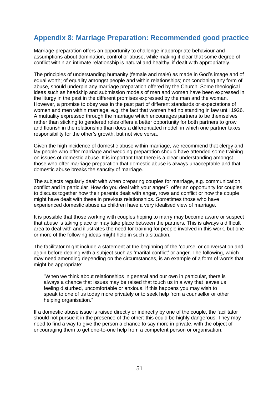## <span id="page-50-0"></span>**Appendix 8: Marriage Preparation: Recommended good practice**

Marriage preparation offers an opportunity to challenge inappropriate behaviour and assumptions about domination, control or abuse, while making it clear that some degree of conflict within an intimate relationship is natural and healthy, if dealt with appropriately.

The principles of understanding humanity (female and male) as made in God's image and of equal worth; of equality amongst people and within relationships; not condoning any form of abuse, should underpin any marriage preparation offered by the Church. Some theological ideas such as headship and submission models of men and women have been expressed in the liturgy in the past in the different promises expressed by the man and the woman. However, a promise to obey was in the past part of different standards or expectations of women and men within marriage, e.g. the fact that women had no standing in law until 1926. A mutuality expressed through the marriage which encourages partners to be themselves rather than sticking to gendered roles offers a better opportunity for both partners to grow and flourish in the relationship than does a differentiated model, in which one partner takes responsibility for the other's growth, but not vice versa.

Given the high incidence of domestic abuse within marriage, we recommend that clergy and lay people who offer marriage and wedding preparation should have attended some training on issues of domestic abuse. It is important that there is a clear understanding amongst those who offer marriage preparation that domestic abuse is always unacceptable and that domestic abuse breaks the sanctity of marriage.

The subjects regularly dealt with when preparing couples for marriage, e.g. communication, conflict and in particular 'How do you deal with your anger?' offer an opportunity for couples to discuss together how their parents dealt with anger, rows and conflict or how the couple might have dealt with these in previous relationships. Sometimes those who have experienced domestic abuse as children have a very idealised view of marriage.

It is possible that those working with couples hoping to marry may become aware or suspect that abuse is taking place or may take place between the partners. This is always a difficult area to deal with and illustrates the need for training for people involved in this work, but one or more of the following ideas might help in such a situation.

The facilitator might include a statement at the beginning of the 'course' or conversation and again before dealing with a subject such as 'marital conflict' or anger. The following, which may need amending depending on the circumstances, is an example of a form of words that might be appropriate:

"When we think about relationships in general and our own in particular, there is always a chance that issues may be raised that touch us in a way that leaves us feeling disturbed, uncomfortable or anxious. If this happens you may wish to speak to one of us today more privately or to seek help from a counsellor or other helping organisation."

If a domestic abuse issue is raised directly or indirectly by one of the couple, the facilitator should not pursue it in the presence of the other: this could be highly dangerous. They may need to find a way to give the person a chance to say more in private, with the object of encouraging them to get one-to-one help from a competent person or organisation.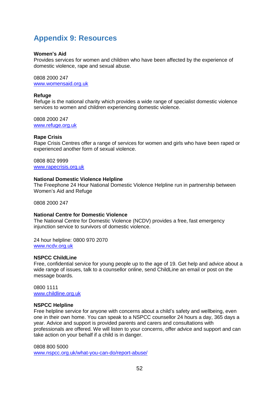## <span id="page-51-0"></span>**Appendix 9: Resources**

#### **Women's Aid**

Provides services for women and children who have been affected by the experience of domestic violence, rape and sexual abuse.

0808 2000 247 [www.womensaid.org.uk](http://www.womensaid.org.uk/)

#### **Refuge**

Refuge is the national charity which provides a wide range of specialist domestic violence services to women and children experiencing domestic violence.

0808 2000 247 [www.refuge.org.uk](http://www.refuge.org.uk/)

#### **Rape Crisis**

Rape Crisis Centres offer a range of services for women and girls who have been raped or experienced another form of sexual violence.

0808 802 9999 [www.rapecrisis.org.uk](http://www.rapecrisis.org.uk/)

#### **National Domestic Violence Helpline**

The Freephone 24 Hour National Domestic Violence Helpline run in partnership between Women's Aid and Refuge

0808 2000 247

#### **National Centre for Domestic Violence**

The National Centre for Domestic Violence (NCDV) provides a free, fast emergency injunction service to survivors of domestic violence.

24 hour helpline: 0800 970 2070 [www.ncdv.org.uk](http://www.ncdv.org.uk/)

#### **NSPCC ChildLine**

Free, confidential service for young people up to the age of 19. Get help and advice about a wide range of issues, talk to a counsellor online, send ChildLine an email or post on the message boards.

0800 1111 [www.childline.org.uk](http://www.childline.org.uk/)

#### **NSPCC Helpline**

Free helpline service for anyone with concerns about a child's safety and wellbeing, even one in their own home. You can speak to a NSPCC counsellor 24 hours a day, 365 days a year. Advice and support is provided parents and carers and consultations with professionals are offered. We will listen to your concerns, offer advice and support and can take action on your behalf if a child is in danger.

#### 0808 800 5000

[www.nspcc.org.uk/what-you-can-do/report-abuse/](http://www.nspcc.org.uk/what-you-can-do/report-abuse/)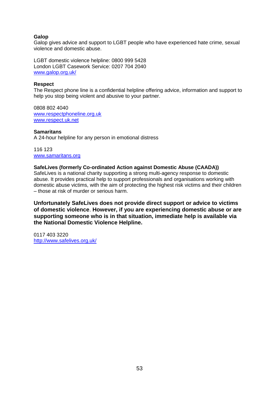#### **Galop**

Galop gives advice and support to LGBT people who have experienced hate crime, sexual violence and domestic abuse.

LGBT domestic violence helpline: 0800 999 5428 London LGBT Casework Service: 0207 704 2040 [www.galop.org.uk/](http://www.galop.org.uk/)

#### **Respect**

The Respect phone line is a confidential helpline offering advice, information and support to help you stop being violent and abusive to your partner.

0808 802 4040 [www.respectphoneline.org.uk](http://www.respectphoneline.org.uk/) [www.respect.uk.net](http://www.respect.uk.net/)

#### **Samaritans**

A 24-hour helpline for any person in emotional distress

116 123 [www.samaritans.org](http://www.samaritans.org/)

#### **SafeLives (formerly Co-ordinated Action against Domestic Abuse (CAADA))**

SafeLives is a national charity supporting a strong multi-agency response to domestic abuse. It provides practical help to support professionals and organisations working with domestic abuse victims, with the aim of protecting the highest risk victims and their children – those at risk of murder or serious harm.

**Unfortunately SafeLives does not provide direct support or advice to victims of domestic violence**. **However, if you are experiencing domestic abuse or are supporting someone who is in that situation, immediate help is available via the National Domestic Violence Helpline.**

0117 403 3220 <http://www.safelives.org.uk/>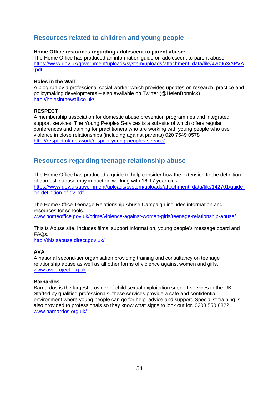## **Resources related to children and young people**

#### **Home Office resources regarding adolescent to parent abuse:**

The Home Office has produced an information guide on adolescent to parent abuse: [https://www.gov.uk/government/uploads/system/uploads/attachment\\_data/file/420963/APVA](https://www.gov.uk/government/uploads/system/uploads/attachment_data/file/420963/APVA.pdf) [.pdf](https://www.gov.uk/government/uploads/system/uploads/attachment_data/file/420963/APVA.pdf)

#### **Holes in the Wall**

A blog run by a professional social worker which provides updates on research, practice and policymaking developments – also available on Twitter (@HelenBonnick) <http://holesinthewall.co.uk/>

#### **RESPECT**

A membership association for domestic abuse prevention programmes and integrated support services. The Young Peoples Services is a sub-site of which offers regular conferences and training for practitioners who are working with young people who use violence in close relationships (including against parents) 020 7549 0578 <http://respect.uk.net/work/respect-young-peoples-service/>

## **Resources regarding teenage relationship abuse**

The Home Office has produced a guide to help consider how the extension to the definition of domestic abuse may impact on working with 16-17 year olds. [https://www.gov.uk/government/uploads/system/uploads/attachment\\_data/file/142701/guide](https://www.gov.uk/government/uploads/system/uploads/attachment_data/file/142701/guide-on-definition-of-dv.pdf)[on-definition-of-dv.pdf](https://www.gov.uk/government/uploads/system/uploads/attachment_data/file/142701/guide-on-definition-of-dv.pdf)

The Home Office Teenage Relationship Abuse Campaign includes information and resources for schools. [www.homeoffice.gov.uk/crime/violence-against-women-girls/teenage-relationship-abuse/](http://www.homeoffice.gov.uk/crime/violence-against-women-girls/teenage-relationship-abuse/)

This is Abuse site. Includes films, support information, young people's message board and FAQs.

<http://thisisabuse.direct.gov.uk/>

#### **AVA**

A national second-tier organisation providing training and consultancy on teenage relationship abuse as well as all other forms of violence against women and girls. [www.avaproject.org.uk](http://www.avaproject.org.uk/)

#### **Barnardos**

Barnardos is the largest provider of child sexual exploitation support services in the UK. Staffed by qualified professionals, these services provide a safe and confidential environment where young people can go for help, advice and support. Specialist training is also provided to professionals so they know what signs to look out for. 0208 550 8822 [www.barnardos.org.uk/](http://www.barnardos.org.uk/)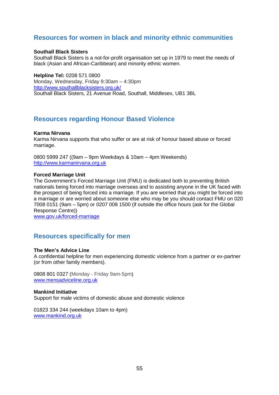## **Resources for women in black and minority ethnic communities**

#### **Southall Black Sisters**

Southall Black Sisters is a not-for-profit organisation set up in 1979 to meet the needs of black (Asian and African-Caribbean) and minority ethnic women.

**Helpline Tel:** 0208 571 0800 Monday, Wednesday, Friday 9:30am – 4:30pm <http://www.southallblacksisters.org.uk/> Southall Black Sisters, 21 Avenue Road, Southall, Middlesex, UB1 3BL

## **Resources regarding Honour Based Violence**

#### **Karma Nirvana**

Karma Nirvana supports that who suffer or are at risk of honour based abuse or forced marriage.

0800 5999 247 ((9am – 9pm Weekdays & 10am – 4pm Weekends) [http://www.karmanirvana.org.uk](http://www.karmanirvana.org.uk/)

#### **Forced Marriage Unit**

The Government's Forced Marriage Unit (FMU) is dedicated both to preventing British nationals being forced into marriage overseas and to assisting anyone in the UK faced with the prospect of being forced into a marriage. If you are worried that you might be forced into a marriage or are worried about someone else who may be you should contact FMU on 020 7008 0151 (9am – 5pm) or 0207 008 1500 (if outside the office hours (ask for the Global Response Centre))

[www.gov.uk/forced-marriage](http://www.gov.uk/forced-marriage)

### **Resources specifically for men**

#### **The Men's Advice Line**

A confidential helpline for men experiencing domestic violence from a partner or ex-partner (or from other family members).

0808 801 0327 (Monday - Friday 9am-5pm**)** [www.mensadviceline.org.uk](http://www.mensadviceline.org.uk/)

#### **Mankind Initiative**

Support for male victims of domestic abuse and domestic violence

01823 334 244 (weekdays 10am to 4pm) [www.mankind.org.uk](http://www.mankind.org.uk/)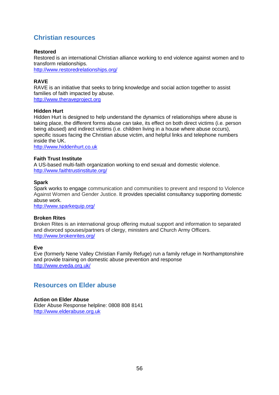## **Christian resources**

#### **Restored**

Restored is an international Christian alliance working to end violence against women and to transform relationships.

<http://www.restoredrelationships.org/>

#### **RAVE**

RAVE is an initiative that seeks to bring knowledge and social action together to assist families of faith impacted by abuse. [http://www.theraveproject.org](http://www.theraveproject.org/)

#### **Hidden Hurt**

Hidden Hurt is designed to help understand the dynamics of relationships where abuse is taking place, the different forms abuse can take, its effect on both direct victims (i.e. person being abused) and indirect victims (i.e. children living in a house where abuse occurs), specific issues facing the Christian abuse victim, and helpful links and telephone numbers inside the UK.

[http://www.hiddenhurt.co.uk](http://www.hiddenhurt.co.uk/)

#### **Faith Trust Institute**

A US-based multi-faith organization working to end sexual and domestic violence. <http://www.faithtrustinstitute.org/>

#### **Spark**

Spark works to engage communication and communities to prevent and respond to Violence Against Women and Gender Justice. It provides specialist consultancy supporting domestic abuse work.

<http://www.sparkequip.org/>

#### **Broken Rites**

Broken Rites is an international group offering mutual support and information to separated and divorced spouses/partners of clergy, ministers and Church Army Officers. <http://www.brokenrites.org/>

#### **Eve**

Eve (formerly Nene Valley Christian Family Refuge) run a family refuge in Northamptonshire and provide training on domestic abuse prevention and response <http://www.eveda.org.uk/>

### **Resources on Elder abuse**

#### **Action on Elder Abuse**

Elder Abuse Response helpline: 0808 808 8141 [http://www.elderabuse.org.uk](http://www.elderabuse.org.uk/)